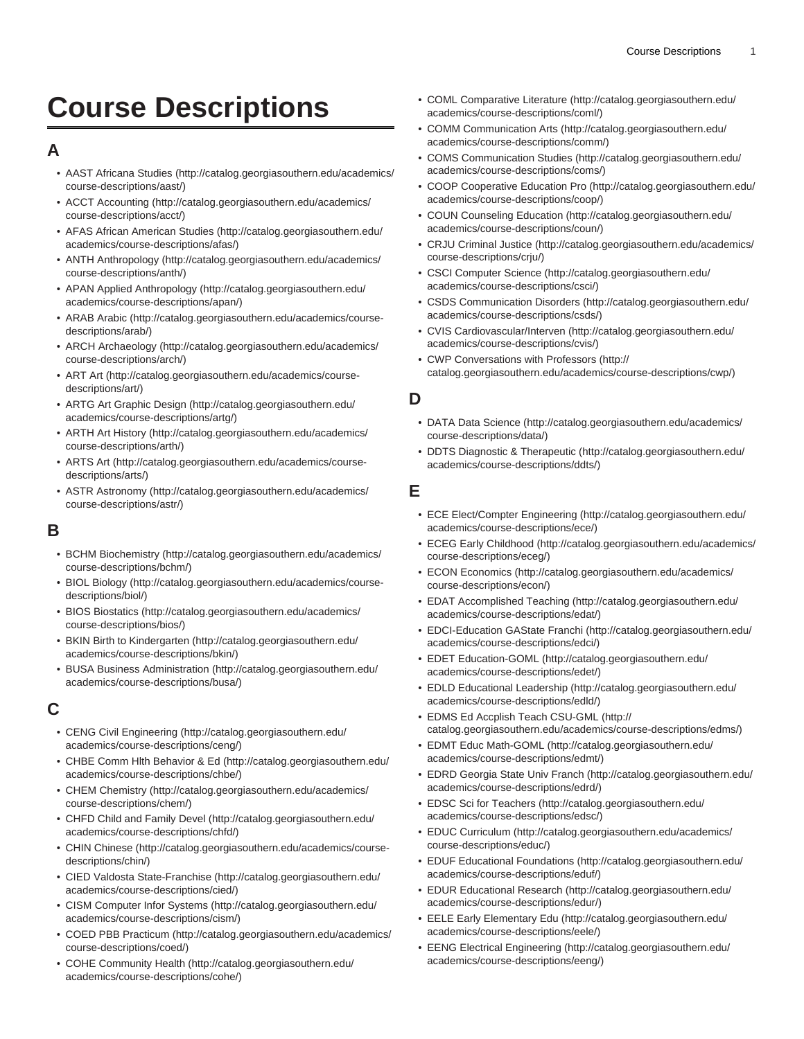# **Course Descriptions**

### **A**

- [AAST Africana Studies](http://catalog.georgiasouthern.edu/academics/course-descriptions/aast/) [\(http://catalog.georgiasouthern.edu/academics/](http://catalog.georgiasouthern.edu/academics/course-descriptions/aast/) [course-descriptions/aast/\)](http://catalog.georgiasouthern.edu/academics/course-descriptions/aast/)
- [ACCT Accounting \(http://catalog.georgiasouthern.edu/academics/](http://catalog.georgiasouthern.edu/academics/course-descriptions/acct/) [course-descriptions/acct/](http://catalog.georgiasouthern.edu/academics/course-descriptions/acct/))
- [AFAS African American Studies](http://catalog.georgiasouthern.edu/academics/course-descriptions/afas/) ([http://catalog.georgiasouthern.edu/](http://catalog.georgiasouthern.edu/academics/course-descriptions/afas/) [academics/course-descriptions/afas/](http://catalog.georgiasouthern.edu/academics/course-descriptions/afas/))
- [ANTH Anthropology](http://catalog.georgiasouthern.edu/academics/course-descriptions/anth/) [\(http://catalog.georgiasouthern.edu/academics/](http://catalog.georgiasouthern.edu/academics/course-descriptions/anth/) [course-descriptions/anth/](http://catalog.georgiasouthern.edu/academics/course-descriptions/anth/))
- [APAN Applied Anthropology](http://catalog.georgiasouthern.edu/academics/course-descriptions/apan/) ([http://catalog.georgiasouthern.edu/](http://catalog.georgiasouthern.edu/academics/course-descriptions/apan/) [academics/course-descriptions/apan/](http://catalog.georgiasouthern.edu/academics/course-descriptions/apan/))
- [ARAB Arabic](http://catalog.georgiasouthern.edu/academics/course-descriptions/arab/) ([http://catalog.georgiasouthern.edu/academics/course](http://catalog.georgiasouthern.edu/academics/course-descriptions/arab/)[descriptions/arab/](http://catalog.georgiasouthern.edu/academics/course-descriptions/arab/))
- [ARCH Archaeology](http://catalog.georgiasouthern.edu/academics/course-descriptions/arch/) [\(http://catalog.georgiasouthern.edu/academics/](http://catalog.georgiasouthern.edu/academics/course-descriptions/arch/) [course-descriptions/arch/](http://catalog.georgiasouthern.edu/academics/course-descriptions/arch/))
- [ART Art](http://catalog.georgiasouthern.edu/academics/course-descriptions/art/) [\(http://catalog.georgiasouthern.edu/academics/course](http://catalog.georgiasouthern.edu/academics/course-descriptions/art/)[descriptions/art/](http://catalog.georgiasouthern.edu/academics/course-descriptions/art/))
- [ARTG Art Graphic Design](http://catalog.georgiasouthern.edu/academics/course-descriptions/artg/) ([http://catalog.georgiasouthern.edu/](http://catalog.georgiasouthern.edu/academics/course-descriptions/artg/) [academics/course-descriptions/artg/](http://catalog.georgiasouthern.edu/academics/course-descriptions/artg/))
- [ARTH Art History](http://catalog.georgiasouthern.edu/academics/course-descriptions/arth/) [\(http://catalog.georgiasouthern.edu/academics/](http://catalog.georgiasouthern.edu/academics/course-descriptions/arth/) [course-descriptions/arth/\)](http://catalog.georgiasouthern.edu/academics/course-descriptions/arth/)
- [ARTS Art](http://catalog.georgiasouthern.edu/academics/course-descriptions/arts/) ([http://catalog.georgiasouthern.edu/academics/course](http://catalog.georgiasouthern.edu/academics/course-descriptions/arts/)[descriptions/arts/](http://catalog.georgiasouthern.edu/academics/course-descriptions/arts/))
- [ASTR Astronomy](http://catalog.georgiasouthern.edu/academics/course-descriptions/astr/) ([http://catalog.georgiasouthern.edu/academics/](http://catalog.georgiasouthern.edu/academics/course-descriptions/astr/) [course-descriptions/astr/](http://catalog.georgiasouthern.edu/academics/course-descriptions/astr/))

#### **B**

- [BCHM Biochemistry \(http://catalog.georgiasouthern.edu/academics/](http://catalog.georgiasouthern.edu/academics/course-descriptions/bchm/) [course-descriptions/bchm/](http://catalog.georgiasouthern.edu/academics/course-descriptions/bchm/))
- [BIOL Biology](http://catalog.georgiasouthern.edu/academics/course-descriptions/biol/) ([http://catalog.georgiasouthern.edu/academics/course](http://catalog.georgiasouthern.edu/academics/course-descriptions/biol/)[descriptions/biol/\)](http://catalog.georgiasouthern.edu/academics/course-descriptions/biol/)
- [BIOS Biostatics \(http://catalog.georgiasouthern.edu/academics/](http://catalog.georgiasouthern.edu/academics/course-descriptions/bios/) [course-descriptions/bios/](http://catalog.georgiasouthern.edu/academics/course-descriptions/bios/))
- [BKIN Birth to Kindergarten](http://catalog.georgiasouthern.edu/academics/course-descriptions/bkin/) [\(http://catalog.georgiasouthern.edu/](http://catalog.georgiasouthern.edu/academics/course-descriptions/bkin/) [academics/course-descriptions/bkin/\)](http://catalog.georgiasouthern.edu/academics/course-descriptions/bkin/)
- [BUSA Business Administration](http://catalog.georgiasouthern.edu/academics/course-descriptions/busa/) [\(http://catalog.georgiasouthern.edu/](http://catalog.georgiasouthern.edu/academics/course-descriptions/busa/) [academics/course-descriptions/busa/\)](http://catalog.georgiasouthern.edu/academics/course-descriptions/busa/)

#### **C**

- [CENG Civil Engineering](http://catalog.georgiasouthern.edu/academics/course-descriptions/ceng/) [\(http://catalog.georgiasouthern.edu/](http://catalog.georgiasouthern.edu/academics/course-descriptions/ceng/) [academics/course-descriptions/ceng/\)](http://catalog.georgiasouthern.edu/academics/course-descriptions/ceng/)
- [CHBE Comm Hlth Behavior & Ed](http://catalog.georgiasouthern.edu/academics/course-descriptions/chbe/) ([http://catalog.georgiasouthern.edu/](http://catalog.georgiasouthern.edu/academics/course-descriptions/chbe/) [academics/course-descriptions/chbe/\)](http://catalog.georgiasouthern.edu/academics/course-descriptions/chbe/)
- [CHEM Chemistry](http://catalog.georgiasouthern.edu/academics/course-descriptions/chem/) ([http://catalog.georgiasouthern.edu/academics/](http://catalog.georgiasouthern.edu/academics/course-descriptions/chem/) [course-descriptions/chem/](http://catalog.georgiasouthern.edu/academics/course-descriptions/chem/))
- [CHFD Child and Family Devel](http://catalog.georgiasouthern.edu/academics/course-descriptions/chfd/) ([http://catalog.georgiasouthern.edu/](http://catalog.georgiasouthern.edu/academics/course-descriptions/chfd/) [academics/course-descriptions/chfd/](http://catalog.georgiasouthern.edu/academics/course-descriptions/chfd/))
- [CHIN Chinese](http://catalog.georgiasouthern.edu/academics/course-descriptions/chin/) [\(http://catalog.georgiasouthern.edu/academics/course](http://catalog.georgiasouthern.edu/academics/course-descriptions/chin/)[descriptions/chin/\)](http://catalog.georgiasouthern.edu/academics/course-descriptions/chin/)
- [CIED Valdosta State-Franchise](http://catalog.georgiasouthern.edu/academics/course-descriptions/cied/) [\(http://catalog.georgiasouthern.edu/](http://catalog.georgiasouthern.edu/academics/course-descriptions/cied/) [academics/course-descriptions/cied/\)](http://catalog.georgiasouthern.edu/academics/course-descriptions/cied/)
- [CISM Computer Infor Systems](http://catalog.georgiasouthern.edu/academics/course-descriptions/cism/) [\(http://catalog.georgiasouthern.edu/](http://catalog.georgiasouthern.edu/academics/course-descriptions/cism/) [academics/course-descriptions/cism/\)](http://catalog.georgiasouthern.edu/academics/course-descriptions/cism/)
- [COED PBB Practicum](http://catalog.georgiasouthern.edu/academics/course-descriptions/coed/) [\(http://catalog.georgiasouthern.edu/academics/](http://catalog.georgiasouthern.edu/academics/course-descriptions/coed/) [course-descriptions/coed/](http://catalog.georgiasouthern.edu/academics/course-descriptions/coed/))
- [COHE Community Health](http://catalog.georgiasouthern.edu/academics/course-descriptions/cohe/) [\(http://catalog.georgiasouthern.edu/](http://catalog.georgiasouthern.edu/academics/course-descriptions/cohe/) [academics/course-descriptions/cohe/\)](http://catalog.georgiasouthern.edu/academics/course-descriptions/cohe/)
- [COML Comparative Literature](http://catalog.georgiasouthern.edu/academics/course-descriptions/coml/) ([http://catalog.georgiasouthern.edu/](http://catalog.georgiasouthern.edu/academics/course-descriptions/coml/) [academics/course-descriptions/coml/\)](http://catalog.georgiasouthern.edu/academics/course-descriptions/coml/)
- [COMM Communication Arts](http://catalog.georgiasouthern.edu/academics/course-descriptions/comm/) ([http://catalog.georgiasouthern.edu/](http://catalog.georgiasouthern.edu/academics/course-descriptions/comm/) [academics/course-descriptions/comm/](http://catalog.georgiasouthern.edu/academics/course-descriptions/comm/))
- [COMS Communication Studies](http://catalog.georgiasouthern.edu/academics/course-descriptions/coms/) ([http://catalog.georgiasouthern.edu/](http://catalog.georgiasouthern.edu/academics/course-descriptions/coms/) [academics/course-descriptions/coms/\)](http://catalog.georgiasouthern.edu/academics/course-descriptions/coms/)
- [COOP Cooperative Education Pro](http://catalog.georgiasouthern.edu/academics/course-descriptions/coop/) ([http://catalog.georgiasouthern.edu/](http://catalog.georgiasouthern.edu/academics/course-descriptions/coop/) [academics/course-descriptions/coop/](http://catalog.georgiasouthern.edu/academics/course-descriptions/coop/))
- [COUN Counseling Education](http://catalog.georgiasouthern.edu/academics/course-descriptions/coun/) ([http://catalog.georgiasouthern.edu/](http://catalog.georgiasouthern.edu/academics/course-descriptions/coun/) [academics/course-descriptions/coun/](http://catalog.georgiasouthern.edu/academics/course-descriptions/coun/))
- [CRJU Criminal Justice](http://catalog.georgiasouthern.edu/academics/course-descriptions/crju/) [\(http://catalog.georgiasouthern.edu/academics/](http://catalog.georgiasouthern.edu/academics/course-descriptions/crju/) [course-descriptions/crju/](http://catalog.georgiasouthern.edu/academics/course-descriptions/crju/))
- [CSCI Computer Science \(http://catalog.georgiasouthern.edu/](http://catalog.georgiasouthern.edu/academics/course-descriptions/csci/) [academics/course-descriptions/csci/](http://catalog.georgiasouthern.edu/academics/course-descriptions/csci/))
- [CSDS Communication Disorders](http://catalog.georgiasouthern.edu/academics/course-descriptions/csds/) ([http://catalog.georgiasouthern.edu/](http://catalog.georgiasouthern.edu/academics/course-descriptions/csds/) [academics/course-descriptions/csds/](http://catalog.georgiasouthern.edu/academics/course-descriptions/csds/))
- [CVIS Cardiovascular/Interven](http://catalog.georgiasouthern.edu/academics/course-descriptions/cvis/) ([http://catalog.georgiasouthern.edu/](http://catalog.georgiasouthern.edu/academics/course-descriptions/cvis/) [academics/course-descriptions/cvis/](http://catalog.georgiasouthern.edu/academics/course-descriptions/cvis/))
- [CWP Conversations with Professors](http://catalog.georgiasouthern.edu/academics/course-descriptions/cwp/) [\(http://](http://catalog.georgiasouthern.edu/academics/course-descriptions/cwp/) [catalog.georgiasouthern.edu/academics/course-descriptions/cwp/](http://catalog.georgiasouthern.edu/academics/course-descriptions/cwp/))

#### **D**

- [DATA Data Science \(http://catalog.georgiasouthern.edu/academics/](http://catalog.georgiasouthern.edu/academics/course-descriptions/data/) [course-descriptions/data/\)](http://catalog.georgiasouthern.edu/academics/course-descriptions/data/)
- [DDTS Diagnostic & Therapeutic](http://catalog.georgiasouthern.edu/academics/course-descriptions/ddts/) ([http://catalog.georgiasouthern.edu/](http://catalog.georgiasouthern.edu/academics/course-descriptions/ddts/) [academics/course-descriptions/ddts/\)](http://catalog.georgiasouthern.edu/academics/course-descriptions/ddts/)

#### **E**

- [ECE Elect/Compter Engineering](http://catalog.georgiasouthern.edu/academics/course-descriptions/ece/) ([http://catalog.georgiasouthern.edu/](http://catalog.georgiasouthern.edu/academics/course-descriptions/ece/) [academics/course-descriptions/ece/\)](http://catalog.georgiasouthern.edu/academics/course-descriptions/ece/)
- [ECEG Early Childhood](http://catalog.georgiasouthern.edu/academics/course-descriptions/eceg/) ([http://catalog.georgiasouthern.edu/academics/](http://catalog.georgiasouthern.edu/academics/course-descriptions/eceg/) [course-descriptions/eceg/\)](http://catalog.georgiasouthern.edu/academics/course-descriptions/eceg/)
- [ECON Economics](http://catalog.georgiasouthern.edu/academics/course-descriptions/econ/) ([http://catalog.georgiasouthern.edu/academics/](http://catalog.georgiasouthern.edu/academics/course-descriptions/econ/) [course-descriptions/econ/\)](http://catalog.georgiasouthern.edu/academics/course-descriptions/econ/)
- [EDAT Accomplished Teaching](http://catalog.georgiasouthern.edu/academics/course-descriptions/edat/) ([http://catalog.georgiasouthern.edu/](http://catalog.georgiasouthern.edu/academics/course-descriptions/edat/) [academics/course-descriptions/edat/](http://catalog.georgiasouthern.edu/academics/course-descriptions/edat/))
- [EDCI-Education GAState Franchi](http://catalog.georgiasouthern.edu/academics/course-descriptions/edci/) ([http://catalog.georgiasouthern.edu/](http://catalog.georgiasouthern.edu/academics/course-descriptions/edci/) [academics/course-descriptions/edci/](http://catalog.georgiasouthern.edu/academics/course-descriptions/edci/))
- [EDET Education-GOML](http://catalog.georgiasouthern.edu/academics/course-descriptions/edet/) ([http://catalog.georgiasouthern.edu/](http://catalog.georgiasouthern.edu/academics/course-descriptions/edet/) [academics/course-descriptions/edet/](http://catalog.georgiasouthern.edu/academics/course-descriptions/edet/))
- [EDLD Educational Leadership \(http://catalog.georgiasouthern.edu/](http://catalog.georgiasouthern.edu/academics/course-descriptions/edld/) [academics/course-descriptions/edld/\)](http://catalog.georgiasouthern.edu/academics/course-descriptions/edld/)
- [EDMS Ed Accplish Teach CSU-GML](http://catalog.georgiasouthern.edu/academics/course-descriptions/edms/) ([http://](http://catalog.georgiasouthern.edu/academics/course-descriptions/edms/) [catalog.georgiasouthern.edu/academics/course-descriptions/edms/\)](http://catalog.georgiasouthern.edu/academics/course-descriptions/edms/)
- [EDMT Educ Math-GOML](http://catalog.georgiasouthern.edu/academics/course-descriptions/edmt/) ([http://catalog.georgiasouthern.edu/](http://catalog.georgiasouthern.edu/academics/course-descriptions/edmt/) [academics/course-descriptions/edmt/](http://catalog.georgiasouthern.edu/academics/course-descriptions/edmt/))
- [EDRD Georgia State Univ Franch](http://catalog.georgiasouthern.edu/academics/course-descriptions/edrd/) ([http://catalog.georgiasouthern.edu/](http://catalog.georgiasouthern.edu/academics/course-descriptions/edrd/) [academics/course-descriptions/edrd/\)](http://catalog.georgiasouthern.edu/academics/course-descriptions/edrd/)
- [EDSC Sci for Teachers](http://catalog.georgiasouthern.edu/academics/course-descriptions/edsc/) ([http://catalog.georgiasouthern.edu/](http://catalog.georgiasouthern.edu/academics/course-descriptions/edsc/) [academics/course-descriptions/edsc/\)](http://catalog.georgiasouthern.edu/academics/course-descriptions/edsc/)
- [EDUC Curriculum](http://catalog.georgiasouthern.edu/academics/course-descriptions/educ/) ([http://catalog.georgiasouthern.edu/academics/](http://catalog.georgiasouthern.edu/academics/course-descriptions/educ/) [course-descriptions/educ/\)](http://catalog.georgiasouthern.edu/academics/course-descriptions/educ/)
- [EDUF Educational Foundations](http://catalog.georgiasouthern.edu/academics/course-descriptions/eduf/) [\(http://catalog.georgiasouthern.edu/](http://catalog.georgiasouthern.edu/academics/course-descriptions/eduf/) [academics/course-descriptions/eduf/](http://catalog.georgiasouthern.edu/academics/course-descriptions/eduf/))
- [EDUR Educational Research \(http://catalog.georgiasouthern.edu/](http://catalog.georgiasouthern.edu/academics/course-descriptions/edur/) [academics/course-descriptions/edur/\)](http://catalog.georgiasouthern.edu/academics/course-descriptions/edur/)
- [EELE Early Elementary Edu](http://catalog.georgiasouthern.edu/academics/course-descriptions/eele/) [\(http://catalog.georgiasouthern.edu/](http://catalog.georgiasouthern.edu/academics/course-descriptions/eele/) [academics/course-descriptions/eele/\)](http://catalog.georgiasouthern.edu/academics/course-descriptions/eele/)
- [EENG Electrical Engineering](http://catalog.georgiasouthern.edu/academics/course-descriptions/eeng/) ([http://catalog.georgiasouthern.edu/](http://catalog.georgiasouthern.edu/academics/course-descriptions/eeng/) [academics/course-descriptions/eeng/](http://catalog.georgiasouthern.edu/academics/course-descriptions/eeng/))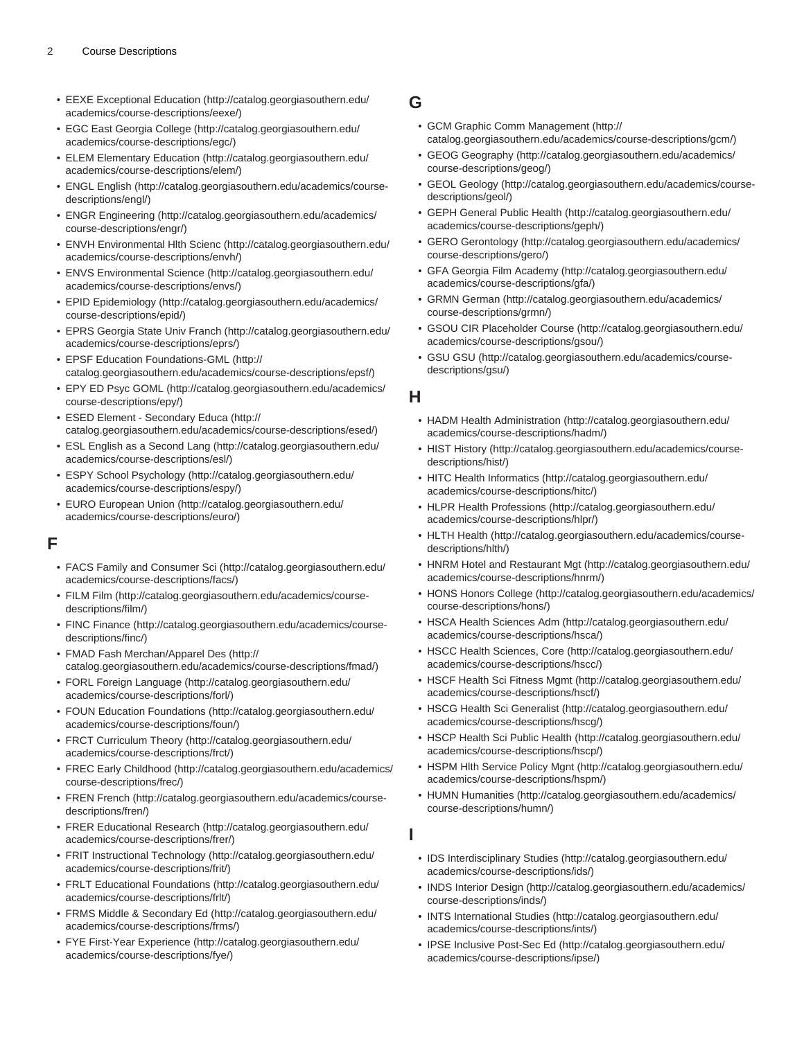- [EEXE Exceptional Education](http://catalog.georgiasouthern.edu/academics/course-descriptions/eexe/) ([http://catalog.georgiasouthern.edu/](http://catalog.georgiasouthern.edu/academics/course-descriptions/eexe/) [academics/course-descriptions/eexe/\)](http://catalog.georgiasouthern.edu/academics/course-descriptions/eexe/)
- [EGC East Georgia College \(http://catalog.georgiasouthern.edu/](http://catalog.georgiasouthern.edu/academics/course-descriptions/egc/) [academics/course-descriptions/egc/](http://catalog.georgiasouthern.edu/academics/course-descriptions/egc/))
- [ELEM Elementary Education](http://catalog.georgiasouthern.edu/academics/course-descriptions/elem/) [\(http://catalog.georgiasouthern.edu/](http://catalog.georgiasouthern.edu/academics/course-descriptions/elem/) [academics/course-descriptions/elem/\)](http://catalog.georgiasouthern.edu/academics/course-descriptions/elem/)
- [ENGL English](http://catalog.georgiasouthern.edu/academics/course-descriptions/engl/) [\(http://catalog.georgiasouthern.edu/academics/course](http://catalog.georgiasouthern.edu/academics/course-descriptions/engl/)[descriptions/engl/](http://catalog.georgiasouthern.edu/academics/course-descriptions/engl/))
- [ENGR Engineering](http://catalog.georgiasouthern.edu/academics/course-descriptions/engr/) ([http://catalog.georgiasouthern.edu/academics/](http://catalog.georgiasouthern.edu/academics/course-descriptions/engr/) [course-descriptions/engr/\)](http://catalog.georgiasouthern.edu/academics/course-descriptions/engr/)
- [ENVH Environmental Hlth Scienc](http://catalog.georgiasouthern.edu/academics/course-descriptions/envh/) [\(http://catalog.georgiasouthern.edu/](http://catalog.georgiasouthern.edu/academics/course-descriptions/envh/) [academics/course-descriptions/envh/\)](http://catalog.georgiasouthern.edu/academics/course-descriptions/envh/)
- [ENVS Environmental Science](http://catalog.georgiasouthern.edu/academics/course-descriptions/envs/) ([http://catalog.georgiasouthern.edu/](http://catalog.georgiasouthern.edu/academics/course-descriptions/envs/) [academics/course-descriptions/envs/](http://catalog.georgiasouthern.edu/academics/course-descriptions/envs/))
- [EPID Epidemiology](http://catalog.georgiasouthern.edu/academics/course-descriptions/epid/) ([http://catalog.georgiasouthern.edu/academics/](http://catalog.georgiasouthern.edu/academics/course-descriptions/epid/) [course-descriptions/epid/\)](http://catalog.georgiasouthern.edu/academics/course-descriptions/epid/)
- [EPRS Georgia State Univ Franch](http://catalog.georgiasouthern.edu/academics/course-descriptions/eprs/) ([http://catalog.georgiasouthern.edu/](http://catalog.georgiasouthern.edu/academics/course-descriptions/eprs/) [academics/course-descriptions/eprs/\)](http://catalog.georgiasouthern.edu/academics/course-descriptions/eprs/)
- [EPSF Education Foundations-GML](http://catalog.georgiasouthern.edu/academics/course-descriptions/epsf/) ([http://](http://catalog.georgiasouthern.edu/academics/course-descriptions/epsf/) [catalog.georgiasouthern.edu/academics/course-descriptions/epsf/\)](http://catalog.georgiasouthern.edu/academics/course-descriptions/epsf/)
- [EPY ED Psyc GOML](http://catalog.georgiasouthern.edu/academics/course-descriptions/epy/) ([http://catalog.georgiasouthern.edu/academics/](http://catalog.georgiasouthern.edu/academics/course-descriptions/epy/) [course-descriptions/epy/\)](http://catalog.georgiasouthern.edu/academics/course-descriptions/epy/)
- [ESED Element Secondary Educa \(http://](http://catalog.georgiasouthern.edu/academics/course-descriptions/esed/) [catalog.georgiasouthern.edu/academics/course-descriptions/esed/](http://catalog.georgiasouthern.edu/academics/course-descriptions/esed/))
- [ESL English as a Second Lang](http://catalog.georgiasouthern.edu/academics/course-descriptions/esl/) [\(http://catalog.georgiasouthern.edu/](http://catalog.georgiasouthern.edu/academics/course-descriptions/esl/) [academics/course-descriptions/esl/](http://catalog.georgiasouthern.edu/academics/course-descriptions/esl/))
- [ESPY School Psychology](http://catalog.georgiasouthern.edu/academics/course-descriptions/espy/) [\(http://catalog.georgiasouthern.edu/](http://catalog.georgiasouthern.edu/academics/course-descriptions/espy/) [academics/course-descriptions/espy/](http://catalog.georgiasouthern.edu/academics/course-descriptions/espy/))
- [EURO European Union](http://catalog.georgiasouthern.edu/academics/course-descriptions/euro/) [\(http://catalog.georgiasouthern.edu/](http://catalog.georgiasouthern.edu/academics/course-descriptions/euro/) [academics/course-descriptions/euro/](http://catalog.georgiasouthern.edu/academics/course-descriptions/euro/))

#### **F**

- [FACS Family and Consumer Sci](http://catalog.georgiasouthern.edu/academics/course-descriptions/facs/) [\(http://catalog.georgiasouthern.edu/](http://catalog.georgiasouthern.edu/academics/course-descriptions/facs/) [academics/course-descriptions/facs/\)](http://catalog.georgiasouthern.edu/academics/course-descriptions/facs/)
- [FILM Film \(http://catalog.georgiasouthern.edu/academics/course](http://catalog.georgiasouthern.edu/academics/course-descriptions/film/)[descriptions/film/\)](http://catalog.georgiasouthern.edu/academics/course-descriptions/film/)
- [FINC Finance](http://catalog.georgiasouthern.edu/academics/course-descriptions/finc/) [\(http://catalog.georgiasouthern.edu/academics/course](http://catalog.georgiasouthern.edu/academics/course-descriptions/finc/)[descriptions/finc/\)](http://catalog.georgiasouthern.edu/academics/course-descriptions/finc/)
- [FMAD Fash Merchan/Apparel Des](http://catalog.georgiasouthern.edu/academics/course-descriptions/fmad/) [\(http://](http://catalog.georgiasouthern.edu/academics/course-descriptions/fmad/) [catalog.georgiasouthern.edu/academics/course-descriptions/fmad/\)](http://catalog.georgiasouthern.edu/academics/course-descriptions/fmad/)
- [FORL Foreign Language](http://catalog.georgiasouthern.edu/academics/course-descriptions/forl/) [\(http://catalog.georgiasouthern.edu/](http://catalog.georgiasouthern.edu/academics/course-descriptions/forl/) [academics/course-descriptions/forl/](http://catalog.georgiasouthern.edu/academics/course-descriptions/forl/))
- [FOUN Education Foundations](http://catalog.georgiasouthern.edu/academics/course-descriptions/foun/) ([http://catalog.georgiasouthern.edu/](http://catalog.georgiasouthern.edu/academics/course-descriptions/foun/) [academics/course-descriptions/foun/\)](http://catalog.georgiasouthern.edu/academics/course-descriptions/foun/)
- [FRCT Curriculum Theory](http://catalog.georgiasouthern.edu/academics/course-descriptions/frct/) [\(http://catalog.georgiasouthern.edu/](http://catalog.georgiasouthern.edu/academics/course-descriptions/frct/) [academics/course-descriptions/frct/](http://catalog.georgiasouthern.edu/academics/course-descriptions/frct/))
- [FREC Early Childhood](http://catalog.georgiasouthern.edu/academics/course-descriptions/frec/) [\(http://catalog.georgiasouthern.edu/academics/](http://catalog.georgiasouthern.edu/academics/course-descriptions/frec/) [course-descriptions/frec/](http://catalog.georgiasouthern.edu/academics/course-descriptions/frec/))
- [FREN French](http://catalog.georgiasouthern.edu/academics/course-descriptions/fren/) ([http://catalog.georgiasouthern.edu/academics/course](http://catalog.georgiasouthern.edu/academics/course-descriptions/fren/)[descriptions/fren/\)](http://catalog.georgiasouthern.edu/academics/course-descriptions/fren/)
- [FRER Educational Research](http://catalog.georgiasouthern.edu/academics/course-descriptions/frer/) [\(http://catalog.georgiasouthern.edu/](http://catalog.georgiasouthern.edu/academics/course-descriptions/frer/) [academics/course-descriptions/frer/](http://catalog.georgiasouthern.edu/academics/course-descriptions/frer/))
- [FRIT Instructional Technology](http://catalog.georgiasouthern.edu/academics/course-descriptions/frit/) ([http://catalog.georgiasouthern.edu/](http://catalog.georgiasouthern.edu/academics/course-descriptions/frit/) [academics/course-descriptions/frit/](http://catalog.georgiasouthern.edu/academics/course-descriptions/frit/))
- [FRLT Educational Foundations](http://catalog.georgiasouthern.edu/academics/course-descriptions/frlt/) [\(http://catalog.georgiasouthern.edu/](http://catalog.georgiasouthern.edu/academics/course-descriptions/frlt/) [academics/course-descriptions/frlt/](http://catalog.georgiasouthern.edu/academics/course-descriptions/frlt/))
- [FRMS Middle & Secondary Ed](http://catalog.georgiasouthern.edu/academics/course-descriptions/frms/) [\(http://catalog.georgiasouthern.edu/](http://catalog.georgiasouthern.edu/academics/course-descriptions/frms/) [academics/course-descriptions/frms/\)](http://catalog.georgiasouthern.edu/academics/course-descriptions/frms/)
- [FYE First-Year Experience](http://catalog.georgiasouthern.edu/academics/course-descriptions/fye/) [\(http://catalog.georgiasouthern.edu/](http://catalog.georgiasouthern.edu/academics/course-descriptions/fye/) [academics/course-descriptions/fye/\)](http://catalog.georgiasouthern.edu/academics/course-descriptions/fye/)

#### **G**

- [GCM Graphic Comm Management](http://catalog.georgiasouthern.edu/academics/course-descriptions/gcm/) ([http://](http://catalog.georgiasouthern.edu/academics/course-descriptions/gcm/) [catalog.georgiasouthern.edu/academics/course-descriptions/gcm/](http://catalog.georgiasouthern.edu/academics/course-descriptions/gcm/))
- [GEOG Geography](http://catalog.georgiasouthern.edu/academics/course-descriptions/geog/) [\(http://catalog.georgiasouthern.edu/academics/](http://catalog.georgiasouthern.edu/academics/course-descriptions/geog/) [course-descriptions/geog/\)](http://catalog.georgiasouthern.edu/academics/course-descriptions/geog/)
- [GEOL Geology](http://catalog.georgiasouthern.edu/academics/course-descriptions/geol/) ([http://catalog.georgiasouthern.edu/academics/course](http://catalog.georgiasouthern.edu/academics/course-descriptions/geol/)[descriptions/geol/\)](http://catalog.georgiasouthern.edu/academics/course-descriptions/geol/)
- [GEPH General Public Health](http://catalog.georgiasouthern.edu/academics/course-descriptions/geph/) ([http://catalog.georgiasouthern.edu/](http://catalog.georgiasouthern.edu/academics/course-descriptions/geph/) [academics/course-descriptions/geph/](http://catalog.georgiasouthern.edu/academics/course-descriptions/geph/))
- [GERO Gerontology](http://catalog.georgiasouthern.edu/academics/course-descriptions/gero/) ([http://catalog.georgiasouthern.edu/academics/](http://catalog.georgiasouthern.edu/academics/course-descriptions/gero/) [course-descriptions/gero/](http://catalog.georgiasouthern.edu/academics/course-descriptions/gero/))
- [GFA Georgia Film Academy](http://catalog.georgiasouthern.edu/academics/course-descriptions/gfa/) [\(http://catalog.georgiasouthern.edu/](http://catalog.georgiasouthern.edu/academics/course-descriptions/gfa/) [academics/course-descriptions/gfa/\)](http://catalog.georgiasouthern.edu/academics/course-descriptions/gfa/)
- [GRMN German](http://catalog.georgiasouthern.edu/academics/course-descriptions/grmn/) ([http://catalog.georgiasouthern.edu/academics/](http://catalog.georgiasouthern.edu/academics/course-descriptions/grmn/) [course-descriptions/grmn/](http://catalog.georgiasouthern.edu/academics/course-descriptions/grmn/))
- [GSOU CIR Placeholder Course](http://catalog.georgiasouthern.edu/academics/course-descriptions/gsou/) [\(http://catalog.georgiasouthern.edu/](http://catalog.georgiasouthern.edu/academics/course-descriptions/gsou/) [academics/course-descriptions/gsou/](http://catalog.georgiasouthern.edu/academics/course-descriptions/gsou/))
- [GSU GSU](http://catalog.georgiasouthern.edu/academics/course-descriptions/gsu/) [\(http://catalog.georgiasouthern.edu/academics/course](http://catalog.georgiasouthern.edu/academics/course-descriptions/gsu/)[descriptions/gsu/](http://catalog.georgiasouthern.edu/academics/course-descriptions/gsu/))

#### **H**

- [HADM Health Administration](http://catalog.georgiasouthern.edu/academics/course-descriptions/hadm/) [\(http://catalog.georgiasouthern.edu/](http://catalog.georgiasouthern.edu/academics/course-descriptions/hadm/) [academics/course-descriptions/hadm/\)](http://catalog.georgiasouthern.edu/academics/course-descriptions/hadm/)
- [HIST History](http://catalog.georgiasouthern.edu/academics/course-descriptions/hist/) ([http://catalog.georgiasouthern.edu/academics/course](http://catalog.georgiasouthern.edu/academics/course-descriptions/hist/)[descriptions/hist/\)](http://catalog.georgiasouthern.edu/academics/course-descriptions/hist/)
- [HITC Health Informatics](http://catalog.georgiasouthern.edu/academics/course-descriptions/hitc/) ([http://catalog.georgiasouthern.edu/](http://catalog.georgiasouthern.edu/academics/course-descriptions/hitc/) [academics/course-descriptions/hitc/](http://catalog.georgiasouthern.edu/academics/course-descriptions/hitc/))
- [HLPR Health Professions](http://catalog.georgiasouthern.edu/academics/course-descriptions/hlpr/) ([http://catalog.georgiasouthern.edu/](http://catalog.georgiasouthern.edu/academics/course-descriptions/hlpr/) [academics/course-descriptions/hlpr/\)](http://catalog.georgiasouthern.edu/academics/course-descriptions/hlpr/)
- [HLTH Health](http://catalog.georgiasouthern.edu/academics/course-descriptions/hlth/) ([http://catalog.georgiasouthern.edu/academics/course](http://catalog.georgiasouthern.edu/academics/course-descriptions/hlth/)[descriptions/hlth/](http://catalog.georgiasouthern.edu/academics/course-descriptions/hlth/))
- [HNRM Hotel and Restaurant Mgt](http://catalog.georgiasouthern.edu/academics/course-descriptions/hnrm/) ([http://catalog.georgiasouthern.edu/](http://catalog.georgiasouthern.edu/academics/course-descriptions/hnrm/) [academics/course-descriptions/hnrm/\)](http://catalog.georgiasouthern.edu/academics/course-descriptions/hnrm/)
- [HONS Honors College](http://catalog.georgiasouthern.edu/academics/course-descriptions/hons/) ([http://catalog.georgiasouthern.edu/academics/](http://catalog.georgiasouthern.edu/academics/course-descriptions/hons/) [course-descriptions/hons/\)](http://catalog.georgiasouthern.edu/academics/course-descriptions/hons/)
- [HSCA Health Sciences Adm](http://catalog.georgiasouthern.edu/academics/course-descriptions/hsca/) [\(http://catalog.georgiasouthern.edu/](http://catalog.georgiasouthern.edu/academics/course-descriptions/hsca/) [academics/course-descriptions/hsca/\)](http://catalog.georgiasouthern.edu/academics/course-descriptions/hsca/)
- [HSCC Health Sciences, Core](http://catalog.georgiasouthern.edu/academics/course-descriptions/hscc/) ([http://catalog.georgiasouthern.edu/](http://catalog.georgiasouthern.edu/academics/course-descriptions/hscc/) [academics/course-descriptions/hscc/](http://catalog.georgiasouthern.edu/academics/course-descriptions/hscc/))
- [HSCF Health Sci Fitness Mgmt](http://catalog.georgiasouthern.edu/academics/course-descriptions/hscf/) ([http://catalog.georgiasouthern.edu/](http://catalog.georgiasouthern.edu/academics/course-descriptions/hscf/) [academics/course-descriptions/hscf/](http://catalog.georgiasouthern.edu/academics/course-descriptions/hscf/))
- [HSCG Health Sci Generalist](http://catalog.georgiasouthern.edu/academics/course-descriptions/hscg/) ([http://catalog.georgiasouthern.edu/](http://catalog.georgiasouthern.edu/academics/course-descriptions/hscg/) [academics/course-descriptions/hscg/\)](http://catalog.georgiasouthern.edu/academics/course-descriptions/hscg/)
- [HSCP Health Sci Public Health](http://catalog.georgiasouthern.edu/academics/course-descriptions/hscp/) ([http://catalog.georgiasouthern.edu/](http://catalog.georgiasouthern.edu/academics/course-descriptions/hscp/) [academics/course-descriptions/hscp/\)](http://catalog.georgiasouthern.edu/academics/course-descriptions/hscp/)
- [HSPM Hlth Service Policy Mgnt](http://catalog.georgiasouthern.edu/academics/course-descriptions/hspm/) [\(http://catalog.georgiasouthern.edu/](http://catalog.georgiasouthern.edu/academics/course-descriptions/hspm/) [academics/course-descriptions/hspm/](http://catalog.georgiasouthern.edu/academics/course-descriptions/hspm/))
- [HUMN Humanities](http://catalog.georgiasouthern.edu/academics/course-descriptions/humn/) ([http://catalog.georgiasouthern.edu/academics/](http://catalog.georgiasouthern.edu/academics/course-descriptions/humn/) [course-descriptions/humn/](http://catalog.georgiasouthern.edu/academics/course-descriptions/humn/))
- **I**
	- [IDS Interdisciplinary Studies](http://catalog.georgiasouthern.edu/academics/course-descriptions/ids/) [\(http://catalog.georgiasouthern.edu/](http://catalog.georgiasouthern.edu/academics/course-descriptions/ids/) [academics/course-descriptions/ids/\)](http://catalog.georgiasouthern.edu/academics/course-descriptions/ids/)
	- [INDS Interior Design](http://catalog.georgiasouthern.edu/academics/course-descriptions/inds/) ([http://catalog.georgiasouthern.edu/academics/](http://catalog.georgiasouthern.edu/academics/course-descriptions/inds/) [course-descriptions/inds/\)](http://catalog.georgiasouthern.edu/academics/course-descriptions/inds/)
	- [INTS International Studies](http://catalog.georgiasouthern.edu/academics/course-descriptions/ints/) ([http://catalog.georgiasouthern.edu/](http://catalog.georgiasouthern.edu/academics/course-descriptions/ints/) [academics/course-descriptions/ints/](http://catalog.georgiasouthern.edu/academics/course-descriptions/ints/))
	- [IPSE Inclusive Post-Sec Ed](http://catalog.georgiasouthern.edu/academics/course-descriptions/ipse/) ([http://catalog.georgiasouthern.edu/](http://catalog.georgiasouthern.edu/academics/course-descriptions/ipse/) [academics/course-descriptions/ipse/](http://catalog.georgiasouthern.edu/academics/course-descriptions/ipse/))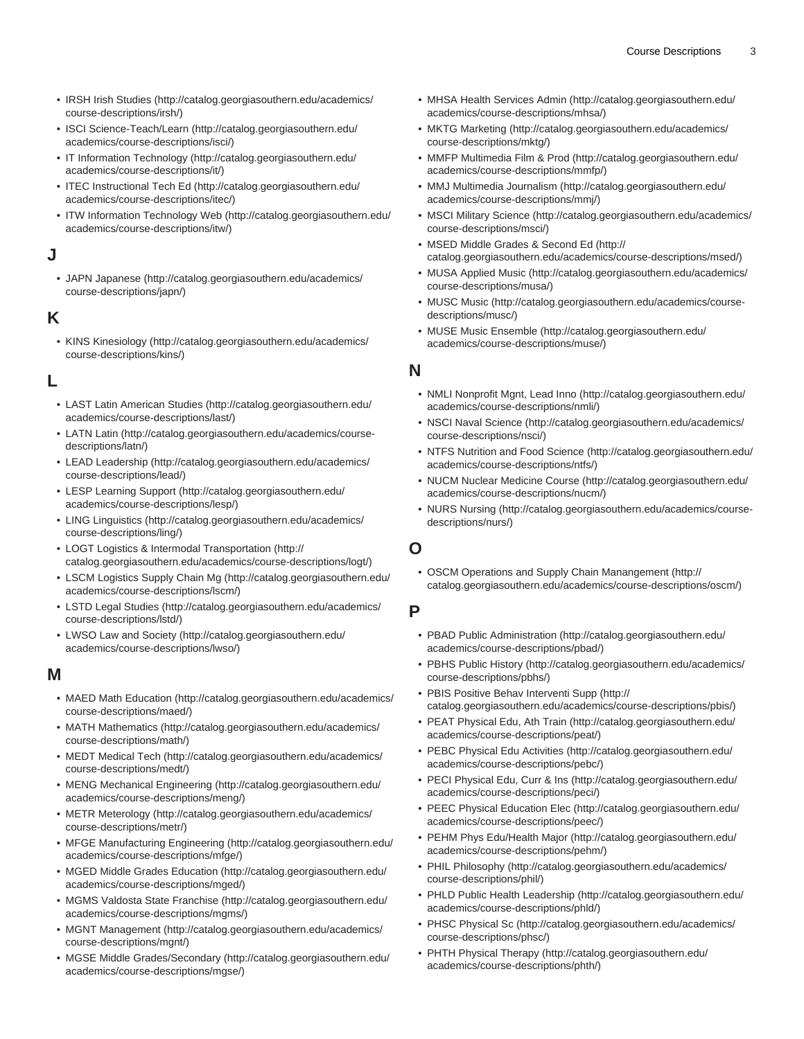- [IRSH Irish Studies](http://catalog.georgiasouthern.edu/academics/course-descriptions/irsh/) [\(http://catalog.georgiasouthern.edu/academics/](http://catalog.georgiasouthern.edu/academics/course-descriptions/irsh/) [course-descriptions/irsh/\)](http://catalog.georgiasouthern.edu/academics/course-descriptions/irsh/)
- [ISCI Science-Teach/Learn](http://catalog.georgiasouthern.edu/academics/course-descriptions/isci/) ([http://catalog.georgiasouthern.edu/](http://catalog.georgiasouthern.edu/academics/course-descriptions/isci/) [academics/course-descriptions/isci/\)](http://catalog.georgiasouthern.edu/academics/course-descriptions/isci/)
- [IT Information Technology](http://catalog.georgiasouthern.edu/academics/course-descriptions/it/) ([http://catalog.georgiasouthern.edu/](http://catalog.georgiasouthern.edu/academics/course-descriptions/it/) [academics/course-descriptions/it/](http://catalog.georgiasouthern.edu/academics/course-descriptions/it/))
- [ITEC Instructional Tech Ed \(http://catalog.georgiasouthern.edu/](http://catalog.georgiasouthern.edu/academics/course-descriptions/itec/) [academics/course-descriptions/itec/\)](http://catalog.georgiasouthern.edu/academics/course-descriptions/itec/)
- [ITW Information Technology Web](http://catalog.georgiasouthern.edu/academics/course-descriptions/itw/) [\(http://catalog.georgiasouthern.edu/](http://catalog.georgiasouthern.edu/academics/course-descriptions/itw/) [academics/course-descriptions/itw/](http://catalog.georgiasouthern.edu/academics/course-descriptions/itw/))

#### **J**

• [JAPN Japanese](http://catalog.georgiasouthern.edu/academics/course-descriptions/japn/) [\(http://catalog.georgiasouthern.edu/academics/](http://catalog.georgiasouthern.edu/academics/course-descriptions/japn/) [course-descriptions/japn/\)](http://catalog.georgiasouthern.edu/academics/course-descriptions/japn/)

#### **K**

• [KINS Kinesiology](http://catalog.georgiasouthern.edu/academics/course-descriptions/kins/) ([http://catalog.georgiasouthern.edu/academics/](http://catalog.georgiasouthern.edu/academics/course-descriptions/kins/) [course-descriptions/kins/](http://catalog.georgiasouthern.edu/academics/course-descriptions/kins/))

#### **L**

- [LAST Latin American Studies](http://catalog.georgiasouthern.edu/academics/course-descriptions/last/) [\(http://catalog.georgiasouthern.edu/](http://catalog.georgiasouthern.edu/academics/course-descriptions/last/) [academics/course-descriptions/last/\)](http://catalog.georgiasouthern.edu/academics/course-descriptions/last/)
- [LATN Latin](http://catalog.georgiasouthern.edu/academics/course-descriptions/latn/) ([http://catalog.georgiasouthern.edu/academics/course](http://catalog.georgiasouthern.edu/academics/course-descriptions/latn/)[descriptions/latn/](http://catalog.georgiasouthern.edu/academics/course-descriptions/latn/))
- [LEAD Leadership](http://catalog.georgiasouthern.edu/academics/course-descriptions/lead/) ([http://catalog.georgiasouthern.edu/academics/](http://catalog.georgiasouthern.edu/academics/course-descriptions/lead/) [course-descriptions/lead/\)](http://catalog.georgiasouthern.edu/academics/course-descriptions/lead/)
- [LESP Learning Support](http://catalog.georgiasouthern.edu/academics/course-descriptions/lesp/) ([http://catalog.georgiasouthern.edu/](http://catalog.georgiasouthern.edu/academics/course-descriptions/lesp/) [academics/course-descriptions/lesp/\)](http://catalog.georgiasouthern.edu/academics/course-descriptions/lesp/)
- [LING Linguistics](http://catalog.georgiasouthern.edu/academics/course-descriptions/ling/) [\(http://catalog.georgiasouthern.edu/academics/](http://catalog.georgiasouthern.edu/academics/course-descriptions/ling/) [course-descriptions/ling/](http://catalog.georgiasouthern.edu/academics/course-descriptions/ling/))
- [LOGT Logistics & Intermodal Transportation \(http://](http://catalog.georgiasouthern.edu/academics/course-descriptions/logt/) [catalog.georgiasouthern.edu/academics/course-descriptions/logt/\)](http://catalog.georgiasouthern.edu/academics/course-descriptions/logt/)
- [LSCM Logistics Supply Chain Mg](http://catalog.georgiasouthern.edu/academics/course-descriptions/lscm/) ([http://catalog.georgiasouthern.edu/](http://catalog.georgiasouthern.edu/academics/course-descriptions/lscm/) [academics/course-descriptions/lscm/\)](http://catalog.georgiasouthern.edu/academics/course-descriptions/lscm/)
- [LSTD Legal Studies](http://catalog.georgiasouthern.edu/academics/course-descriptions/lstd/) [\(http://catalog.georgiasouthern.edu/academics/](http://catalog.georgiasouthern.edu/academics/course-descriptions/lstd/) [course-descriptions/lstd/](http://catalog.georgiasouthern.edu/academics/course-descriptions/lstd/))
- [LWSO Law and Society](http://catalog.georgiasouthern.edu/academics/course-descriptions/lwso/) [\(http://catalog.georgiasouthern.edu/](http://catalog.georgiasouthern.edu/academics/course-descriptions/lwso/) [academics/course-descriptions/lwso/](http://catalog.georgiasouthern.edu/academics/course-descriptions/lwso/))

#### **M**

- [MAED Math Education](http://catalog.georgiasouthern.edu/academics/course-descriptions/maed/) ([http://catalog.georgiasouthern.edu/academics/](http://catalog.georgiasouthern.edu/academics/course-descriptions/maed/) [course-descriptions/maed/\)](http://catalog.georgiasouthern.edu/academics/course-descriptions/maed/)
- [MATH Mathematics](http://catalog.georgiasouthern.edu/academics/course-descriptions/math/) [\(http://catalog.georgiasouthern.edu/academics/](http://catalog.georgiasouthern.edu/academics/course-descriptions/math/) [course-descriptions/math/\)](http://catalog.georgiasouthern.edu/academics/course-descriptions/math/)
- [MEDT Medical Tech](http://catalog.georgiasouthern.edu/academics/course-descriptions/medt/) [\(http://catalog.georgiasouthern.edu/academics/](http://catalog.georgiasouthern.edu/academics/course-descriptions/medt/) [course-descriptions/medt/\)](http://catalog.georgiasouthern.edu/academics/course-descriptions/medt/)
- [MENG Mechanical Engineering \(http://catalog.georgiasouthern.edu/](http://catalog.georgiasouthern.edu/academics/course-descriptions/meng/) [academics/course-descriptions/meng/](http://catalog.georgiasouthern.edu/academics/course-descriptions/meng/))
- [METR Meterology](http://catalog.georgiasouthern.edu/academics/course-descriptions/metr/) [\(http://catalog.georgiasouthern.edu/academics/](http://catalog.georgiasouthern.edu/academics/course-descriptions/metr/) [course-descriptions/metr/\)](http://catalog.georgiasouthern.edu/academics/course-descriptions/metr/)
- [MFGE Manufacturing Engineering](http://catalog.georgiasouthern.edu/academics/course-descriptions/mfge/) ([http://catalog.georgiasouthern.edu/](http://catalog.georgiasouthern.edu/academics/course-descriptions/mfge/) [academics/course-descriptions/mfge/](http://catalog.georgiasouthern.edu/academics/course-descriptions/mfge/))
- [MGED Middle Grades Education](http://catalog.georgiasouthern.edu/academics/course-descriptions/mged/) ([http://catalog.georgiasouthern.edu/](http://catalog.georgiasouthern.edu/academics/course-descriptions/mged/) [academics/course-descriptions/mged/](http://catalog.georgiasouthern.edu/academics/course-descriptions/mged/))
- [MGMS Valdosta State Franchise](http://catalog.georgiasouthern.edu/academics/course-descriptions/mgms/) [\(http://catalog.georgiasouthern.edu/](http://catalog.georgiasouthern.edu/academics/course-descriptions/mgms/) [academics/course-descriptions/mgms/](http://catalog.georgiasouthern.edu/academics/course-descriptions/mgms/))
- [MGNT Management](http://catalog.georgiasouthern.edu/academics/course-descriptions/mgnt/) [\(http://catalog.georgiasouthern.edu/academics/](http://catalog.georgiasouthern.edu/academics/course-descriptions/mgnt/) [course-descriptions/mgnt/\)](http://catalog.georgiasouthern.edu/academics/course-descriptions/mgnt/)
- [MGSE Middle Grades/Secondary](http://catalog.georgiasouthern.edu/academics/course-descriptions/mgse/) [\(http://catalog.georgiasouthern.edu/](http://catalog.georgiasouthern.edu/academics/course-descriptions/mgse/) [academics/course-descriptions/mgse/\)](http://catalog.georgiasouthern.edu/academics/course-descriptions/mgse/)
- [MHSA Health Services Admin](http://catalog.georgiasouthern.edu/academics/course-descriptions/mhsa/) ([http://catalog.georgiasouthern.edu/](http://catalog.georgiasouthern.edu/academics/course-descriptions/mhsa/) [academics/course-descriptions/mhsa/](http://catalog.georgiasouthern.edu/academics/course-descriptions/mhsa/))
- [MKTG Marketing](http://catalog.georgiasouthern.edu/academics/course-descriptions/mktg/) ([http://catalog.georgiasouthern.edu/academics/](http://catalog.georgiasouthern.edu/academics/course-descriptions/mktg/) [course-descriptions/mktg/\)](http://catalog.georgiasouthern.edu/academics/course-descriptions/mktg/)
- [MMFP Multimedia Film & Prod](http://catalog.georgiasouthern.edu/academics/course-descriptions/mmfp/) ([http://catalog.georgiasouthern.edu/](http://catalog.georgiasouthern.edu/academics/course-descriptions/mmfp/) [academics/course-descriptions/mmfp/\)](http://catalog.georgiasouthern.edu/academics/course-descriptions/mmfp/)
- [MMJ Multimedia Journalism \(http://catalog.georgiasouthern.edu/](http://catalog.georgiasouthern.edu/academics/course-descriptions/mmj/) [academics/course-descriptions/mmj/\)](http://catalog.georgiasouthern.edu/academics/course-descriptions/mmj/)
- [MSCI Military Science](http://catalog.georgiasouthern.edu/academics/course-descriptions/msci/) ([http://catalog.georgiasouthern.edu/academics/](http://catalog.georgiasouthern.edu/academics/course-descriptions/msci/) [course-descriptions/msci/\)](http://catalog.georgiasouthern.edu/academics/course-descriptions/msci/)
- [MSED Middle Grades & Second Ed](http://catalog.georgiasouthern.edu/academics/course-descriptions/msed/) ([http://](http://catalog.georgiasouthern.edu/academics/course-descriptions/msed/) [catalog.georgiasouthern.edu/academics/course-descriptions/msed/\)](http://catalog.georgiasouthern.edu/academics/course-descriptions/msed/)
- [MUSA Applied Music \(http://catalog.georgiasouthern.edu/academics/](http://catalog.georgiasouthern.edu/academics/course-descriptions/musa/) [course-descriptions/musa/\)](http://catalog.georgiasouthern.edu/academics/course-descriptions/musa/)
- [MUSC Music](http://catalog.georgiasouthern.edu/academics/course-descriptions/musc/) ([http://catalog.georgiasouthern.edu/academics/course](http://catalog.georgiasouthern.edu/academics/course-descriptions/musc/)[descriptions/musc/\)](http://catalog.georgiasouthern.edu/academics/course-descriptions/musc/)
- [MUSE Music Ensemble](http://catalog.georgiasouthern.edu/academics/course-descriptions/muse/) [\(http://catalog.georgiasouthern.edu/](http://catalog.georgiasouthern.edu/academics/course-descriptions/muse/) [academics/course-descriptions/muse/](http://catalog.georgiasouthern.edu/academics/course-descriptions/muse/))

#### **N**

- [NMLI Nonprofit Mgnt, Lead Inno](http://catalog.georgiasouthern.edu/academics/course-descriptions/nmli/) [\(http://catalog.georgiasouthern.edu/](http://catalog.georgiasouthern.edu/academics/course-descriptions/nmli/) [academics/course-descriptions/nmli/](http://catalog.georgiasouthern.edu/academics/course-descriptions/nmli/))
- [NSCI Naval Science](http://catalog.georgiasouthern.edu/academics/course-descriptions/nsci/) ([http://catalog.georgiasouthern.edu/academics/](http://catalog.georgiasouthern.edu/academics/course-descriptions/nsci/) [course-descriptions/nsci/](http://catalog.georgiasouthern.edu/academics/course-descriptions/nsci/))
- [NTFS Nutrition and Food Science](http://catalog.georgiasouthern.edu/academics/course-descriptions/ntfs/) ([http://catalog.georgiasouthern.edu/](http://catalog.georgiasouthern.edu/academics/course-descriptions/ntfs/) [academics/course-descriptions/ntfs/\)](http://catalog.georgiasouthern.edu/academics/course-descriptions/ntfs/)
- [NUCM Nuclear Medicine Course](http://catalog.georgiasouthern.edu/academics/course-descriptions/nucm/) [\(http://catalog.georgiasouthern.edu/](http://catalog.georgiasouthern.edu/academics/course-descriptions/nucm/) [academics/course-descriptions/nucm/](http://catalog.georgiasouthern.edu/academics/course-descriptions/nucm/))
- [NURS Nursing](http://catalog.georgiasouthern.edu/academics/course-descriptions/nurs/) ([http://catalog.georgiasouthern.edu/academics/course](http://catalog.georgiasouthern.edu/academics/course-descriptions/nurs/)[descriptions/nurs/](http://catalog.georgiasouthern.edu/academics/course-descriptions/nurs/))

#### **O**

• [OSCM Operations and Supply Chain Manangement](http://catalog.georgiasouthern.edu/academics/course-descriptions/oscm/) [\(http://](http://catalog.georgiasouthern.edu/academics/course-descriptions/oscm/) [catalog.georgiasouthern.edu/academics/course-descriptions/oscm/](http://catalog.georgiasouthern.edu/academics/course-descriptions/oscm/))

#### **P**

- [PBAD Public Administration](http://catalog.georgiasouthern.edu/academics/course-descriptions/pbad/) ([http://catalog.georgiasouthern.edu/](http://catalog.georgiasouthern.edu/academics/course-descriptions/pbad/) [academics/course-descriptions/pbad/](http://catalog.georgiasouthern.edu/academics/course-descriptions/pbad/))
- [PBHS Public History](http://catalog.georgiasouthern.edu/academics/course-descriptions/pbhs/) [\(http://catalog.georgiasouthern.edu/academics/](http://catalog.georgiasouthern.edu/academics/course-descriptions/pbhs/) [course-descriptions/pbhs/\)](http://catalog.georgiasouthern.edu/academics/course-descriptions/pbhs/)
- [PBIS Positive Behav Interventi Supp](http://catalog.georgiasouthern.edu/academics/course-descriptions/pbis/) ([http://](http://catalog.georgiasouthern.edu/academics/course-descriptions/pbis/) [catalog.georgiasouthern.edu/academics/course-descriptions/pbis/\)](http://catalog.georgiasouthern.edu/academics/course-descriptions/pbis/)
- [PEAT Physical Edu, Ath Train](http://catalog.georgiasouthern.edu/academics/course-descriptions/peat/) ([http://catalog.georgiasouthern.edu/](http://catalog.georgiasouthern.edu/academics/course-descriptions/peat/) [academics/course-descriptions/peat/](http://catalog.georgiasouthern.edu/academics/course-descriptions/peat/))
- [PEBC Physical Edu Activities](http://catalog.georgiasouthern.edu/academics/course-descriptions/pebc/) [\(http://catalog.georgiasouthern.edu/](http://catalog.georgiasouthern.edu/academics/course-descriptions/pebc/) [academics/course-descriptions/pebc/](http://catalog.georgiasouthern.edu/academics/course-descriptions/pebc/))
- [PECI Physical Edu, Curr & Ins](http://catalog.georgiasouthern.edu/academics/course-descriptions/peci/) ([http://catalog.georgiasouthern.edu/](http://catalog.georgiasouthern.edu/academics/course-descriptions/peci/) [academics/course-descriptions/peci/](http://catalog.georgiasouthern.edu/academics/course-descriptions/peci/))
- [PEEC Physical Education Elec](http://catalog.georgiasouthern.edu/academics/course-descriptions/peec/) ([http://catalog.georgiasouthern.edu/](http://catalog.georgiasouthern.edu/academics/course-descriptions/peec/) [academics/course-descriptions/peec/](http://catalog.georgiasouthern.edu/academics/course-descriptions/peec/))
- [PEHM Phys Edu/Health Major \(http://catalog.georgiasouthern.edu/](http://catalog.georgiasouthern.edu/academics/course-descriptions/pehm/) [academics/course-descriptions/pehm/\)](http://catalog.georgiasouthern.edu/academics/course-descriptions/pehm/)
- [PHIL Philosophy \(http://catalog.georgiasouthern.edu/academics/](http://catalog.georgiasouthern.edu/academics/course-descriptions/phil/) [course-descriptions/phil/\)](http://catalog.georgiasouthern.edu/academics/course-descriptions/phil/)
- [PHLD Public Health Leadership](http://catalog.georgiasouthern.edu/academics/course-descriptions/phld/) ([http://catalog.georgiasouthern.edu/](http://catalog.georgiasouthern.edu/academics/course-descriptions/phld/) [academics/course-descriptions/phld/\)](http://catalog.georgiasouthern.edu/academics/course-descriptions/phld/)
- [PHSC Physical Sc](http://catalog.georgiasouthern.edu/academics/course-descriptions/phsc/) [\(http://catalog.georgiasouthern.edu/academics/](http://catalog.georgiasouthern.edu/academics/course-descriptions/phsc/) [course-descriptions/phsc/](http://catalog.georgiasouthern.edu/academics/course-descriptions/phsc/))
- [PHTH Physical Therapy](http://catalog.georgiasouthern.edu/academics/course-descriptions/phth/) ([http://catalog.georgiasouthern.edu/](http://catalog.georgiasouthern.edu/academics/course-descriptions/phth/) [academics/course-descriptions/phth/](http://catalog.georgiasouthern.edu/academics/course-descriptions/phth/))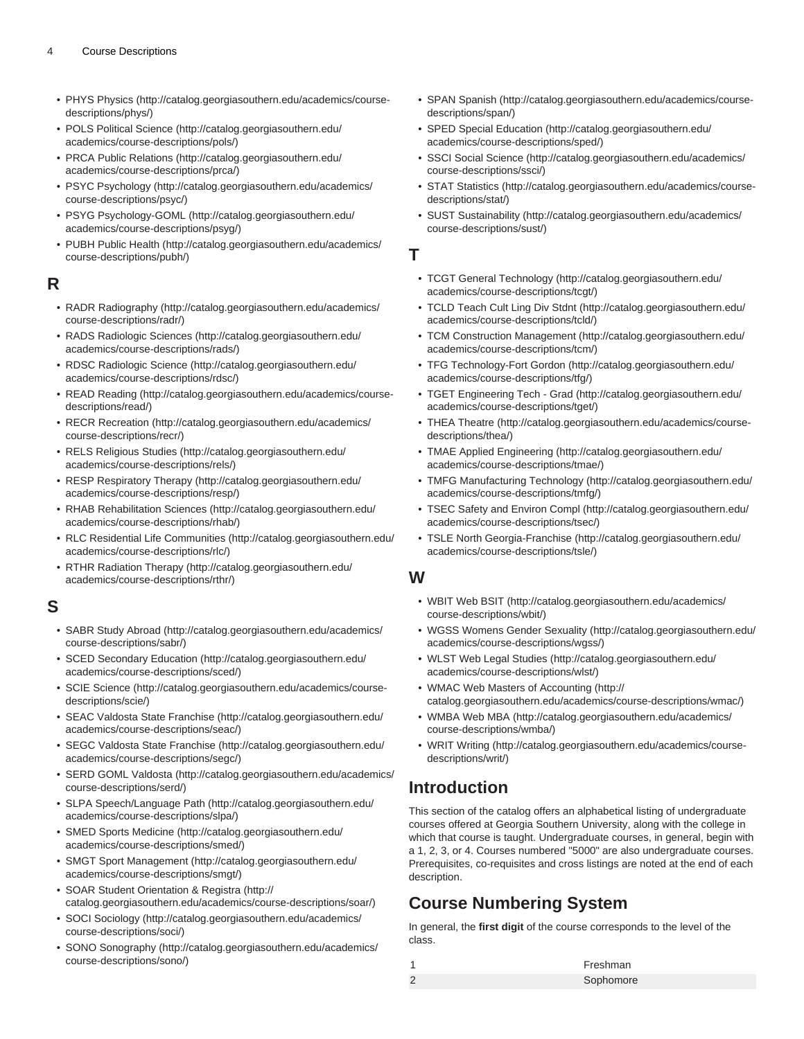- [PHYS Physics \(http://catalog.georgiasouthern.edu/academics/course](http://catalog.georgiasouthern.edu/academics/course-descriptions/phys/)[descriptions/phys/](http://catalog.georgiasouthern.edu/academics/course-descriptions/phys/))
- [POLS Political Science](http://catalog.georgiasouthern.edu/academics/course-descriptions/pols/) ([http://catalog.georgiasouthern.edu/](http://catalog.georgiasouthern.edu/academics/course-descriptions/pols/) [academics/course-descriptions/pols/\)](http://catalog.georgiasouthern.edu/academics/course-descriptions/pols/)
- [PRCA Public Relations](http://catalog.georgiasouthern.edu/academics/course-descriptions/prca/) ([http://catalog.georgiasouthern.edu/](http://catalog.georgiasouthern.edu/academics/course-descriptions/prca/) [academics/course-descriptions/prca/\)](http://catalog.georgiasouthern.edu/academics/course-descriptions/prca/)
- [PSYC Psychology](http://catalog.georgiasouthern.edu/academics/course-descriptions/psyc/) ([http://catalog.georgiasouthern.edu/academics/](http://catalog.georgiasouthern.edu/academics/course-descriptions/psyc/) [course-descriptions/psyc/](http://catalog.georgiasouthern.edu/academics/course-descriptions/psyc/))
- [PSYG Psychology-GOML \(http://catalog.georgiasouthern.edu/](http://catalog.georgiasouthern.edu/academics/course-descriptions/psyg/) [academics/course-descriptions/psyg/](http://catalog.georgiasouthern.edu/academics/course-descriptions/psyg/))
- [PUBH Public Health \(http://catalog.georgiasouthern.edu/academics/](http://catalog.georgiasouthern.edu/academics/course-descriptions/pubh/) [course-descriptions/pubh/\)](http://catalog.georgiasouthern.edu/academics/course-descriptions/pubh/)

#### **R**

- [RADR Radiography](http://catalog.georgiasouthern.edu/academics/course-descriptions/radr/) [\(http://catalog.georgiasouthern.edu/academics/](http://catalog.georgiasouthern.edu/academics/course-descriptions/radr/) [course-descriptions/radr/](http://catalog.georgiasouthern.edu/academics/course-descriptions/radr/))
- [RADS Radiologic Sciences](http://catalog.georgiasouthern.edu/academics/course-descriptions/rads/) [\(http://catalog.georgiasouthern.edu/](http://catalog.georgiasouthern.edu/academics/course-descriptions/rads/) [academics/course-descriptions/rads/\)](http://catalog.georgiasouthern.edu/academics/course-descriptions/rads/)
- [RDSC Radiologic Science](http://catalog.georgiasouthern.edu/academics/course-descriptions/rdsc/) ([http://catalog.georgiasouthern.edu/](http://catalog.georgiasouthern.edu/academics/course-descriptions/rdsc/) [academics/course-descriptions/rdsc/](http://catalog.georgiasouthern.edu/academics/course-descriptions/rdsc/))
- [READ Reading](http://catalog.georgiasouthern.edu/academics/course-descriptions/read/) [\(http://catalog.georgiasouthern.edu/academics/course](http://catalog.georgiasouthern.edu/academics/course-descriptions/read/)[descriptions/read/](http://catalog.georgiasouthern.edu/academics/course-descriptions/read/))
- [RECR Recreation \(http://catalog.georgiasouthern.edu/academics/](http://catalog.georgiasouthern.edu/academics/course-descriptions/recr/) [course-descriptions/recr/\)](http://catalog.georgiasouthern.edu/academics/course-descriptions/recr/)
- [RELS Religious Studies](http://catalog.georgiasouthern.edu/academics/course-descriptions/rels/) ([http://catalog.georgiasouthern.edu/](http://catalog.georgiasouthern.edu/academics/course-descriptions/rels/) [academics/course-descriptions/rels/](http://catalog.georgiasouthern.edu/academics/course-descriptions/rels/))
- [RESP Respiratory Therapy](http://catalog.georgiasouthern.edu/academics/course-descriptions/resp/) [\(http://catalog.georgiasouthern.edu/](http://catalog.georgiasouthern.edu/academics/course-descriptions/resp/) [academics/course-descriptions/resp/\)](http://catalog.georgiasouthern.edu/academics/course-descriptions/resp/)
- [RHAB Rehabilitation Sciences \(http://catalog.georgiasouthern.edu/](http://catalog.georgiasouthern.edu/academics/course-descriptions/rhab/) [academics/course-descriptions/rhab/](http://catalog.georgiasouthern.edu/academics/course-descriptions/rhab/))
- [RLC Residential Life Communities](http://catalog.georgiasouthern.edu/academics/course-descriptions/rlc/) ([http://catalog.georgiasouthern.edu/](http://catalog.georgiasouthern.edu/academics/course-descriptions/rlc/) [academics/course-descriptions/rlc/\)](http://catalog.georgiasouthern.edu/academics/course-descriptions/rlc/)
- [RTHR Radiation Therapy](http://catalog.georgiasouthern.edu/academics/course-descriptions/rthr/) ([http://catalog.georgiasouthern.edu/](http://catalog.georgiasouthern.edu/academics/course-descriptions/rthr/) [academics/course-descriptions/rthr/](http://catalog.georgiasouthern.edu/academics/course-descriptions/rthr/))

#### **S**

- [SABR Study Abroad](http://catalog.georgiasouthern.edu/academics/course-descriptions/sabr/) [\(http://catalog.georgiasouthern.edu/academics/](http://catalog.georgiasouthern.edu/academics/course-descriptions/sabr/) [course-descriptions/sabr/](http://catalog.georgiasouthern.edu/academics/course-descriptions/sabr/))
- [SCED Secondary Education](http://catalog.georgiasouthern.edu/academics/course-descriptions/sced/) [\(http://catalog.georgiasouthern.edu/](http://catalog.georgiasouthern.edu/academics/course-descriptions/sced/) [academics/course-descriptions/sced/](http://catalog.georgiasouthern.edu/academics/course-descriptions/sced/))
- [SCIE Science](http://catalog.georgiasouthern.edu/academics/course-descriptions/scie/) [\(http://catalog.georgiasouthern.edu/academics/course](http://catalog.georgiasouthern.edu/academics/course-descriptions/scie/)[descriptions/scie/](http://catalog.georgiasouthern.edu/academics/course-descriptions/scie/))
- [SEAC Valdosta State Franchise](http://catalog.georgiasouthern.edu/academics/course-descriptions/seac/) [\(http://catalog.georgiasouthern.edu/](http://catalog.georgiasouthern.edu/academics/course-descriptions/seac/) [academics/course-descriptions/seac/](http://catalog.georgiasouthern.edu/academics/course-descriptions/seac/))
- [SEGC Valdosta State Franchise](http://catalog.georgiasouthern.edu/academics/course-descriptions/segc/) [\(http://catalog.georgiasouthern.edu/](http://catalog.georgiasouthern.edu/academics/course-descriptions/segc/) [academics/course-descriptions/segc/](http://catalog.georgiasouthern.edu/academics/course-descriptions/segc/))
- [SERD GOML Valdosta](http://catalog.georgiasouthern.edu/academics/course-descriptions/serd/) [\(http://catalog.georgiasouthern.edu/academics/](http://catalog.georgiasouthern.edu/academics/course-descriptions/serd/) [course-descriptions/serd/](http://catalog.georgiasouthern.edu/academics/course-descriptions/serd/))
- [SLPA Speech/Language Path](http://catalog.georgiasouthern.edu/academics/course-descriptions/slpa/) [\(http://catalog.georgiasouthern.edu/](http://catalog.georgiasouthern.edu/academics/course-descriptions/slpa/) [academics/course-descriptions/slpa/\)](http://catalog.georgiasouthern.edu/academics/course-descriptions/slpa/)
- [SMED Sports Medicine](http://catalog.georgiasouthern.edu/academics/course-descriptions/smed/) ([http://catalog.georgiasouthern.edu/](http://catalog.georgiasouthern.edu/academics/course-descriptions/smed/) [academics/course-descriptions/smed/\)](http://catalog.georgiasouthern.edu/academics/course-descriptions/smed/)
- [SMGT Sport Management](http://catalog.georgiasouthern.edu/academics/course-descriptions/smgt/) [\(http://catalog.georgiasouthern.edu/](http://catalog.georgiasouthern.edu/academics/course-descriptions/smgt/) [academics/course-descriptions/smgt/\)](http://catalog.georgiasouthern.edu/academics/course-descriptions/smgt/)
- [SOAR Student Orientation & Registra](http://catalog.georgiasouthern.edu/academics/course-descriptions/soar/) [\(http://](http://catalog.georgiasouthern.edu/academics/course-descriptions/soar/) [catalog.georgiasouthern.edu/academics/course-descriptions/soar/](http://catalog.georgiasouthern.edu/academics/course-descriptions/soar/))
- [SOCI Sociology](http://catalog.georgiasouthern.edu/academics/course-descriptions/soci/) [\(http://catalog.georgiasouthern.edu/academics/](http://catalog.georgiasouthern.edu/academics/course-descriptions/soci/) [course-descriptions/soci/](http://catalog.georgiasouthern.edu/academics/course-descriptions/soci/))
- [SONO Sonography](http://catalog.georgiasouthern.edu/academics/course-descriptions/sono/) ([http://catalog.georgiasouthern.edu/academics/](http://catalog.georgiasouthern.edu/academics/course-descriptions/sono/) [course-descriptions/sono/](http://catalog.georgiasouthern.edu/academics/course-descriptions/sono/))
- [SPAN Spanish](http://catalog.georgiasouthern.edu/academics/course-descriptions/span/) [\(http://catalog.georgiasouthern.edu/academics/course](http://catalog.georgiasouthern.edu/academics/course-descriptions/span/)[descriptions/span/\)](http://catalog.georgiasouthern.edu/academics/course-descriptions/span/)
- [SPED Special Education](http://catalog.georgiasouthern.edu/academics/course-descriptions/sped/) [\(http://catalog.georgiasouthern.edu/](http://catalog.georgiasouthern.edu/academics/course-descriptions/sped/) [academics/course-descriptions/sped/](http://catalog.georgiasouthern.edu/academics/course-descriptions/sped/))
- [SSCI Social Science](http://catalog.georgiasouthern.edu/academics/course-descriptions/ssci/) ([http://catalog.georgiasouthern.edu/academics/](http://catalog.georgiasouthern.edu/academics/course-descriptions/ssci/) [course-descriptions/ssci/\)](http://catalog.georgiasouthern.edu/academics/course-descriptions/ssci/)
- [STAT Statistics](http://catalog.georgiasouthern.edu/academics/course-descriptions/stat/) ([http://catalog.georgiasouthern.edu/academics/course](http://catalog.georgiasouthern.edu/academics/course-descriptions/stat/)[descriptions/stat/](http://catalog.georgiasouthern.edu/academics/course-descriptions/stat/))
- [SUST Sustainability](http://catalog.georgiasouthern.edu/academics/course-descriptions/sust/) ([http://catalog.georgiasouthern.edu/academics/](http://catalog.georgiasouthern.edu/academics/course-descriptions/sust/) [course-descriptions/sust/\)](http://catalog.georgiasouthern.edu/academics/course-descriptions/sust/)

#### **T**

- [TCGT General Technology](http://catalog.georgiasouthern.edu/academics/course-descriptions/tcgt/) [\(http://catalog.georgiasouthern.edu/](http://catalog.georgiasouthern.edu/academics/course-descriptions/tcgt/) [academics/course-descriptions/tcgt/\)](http://catalog.georgiasouthern.edu/academics/course-descriptions/tcgt/)
- [TCLD Teach Cult Ling Div Stdnt](http://catalog.georgiasouthern.edu/academics/course-descriptions/tcld/) [\(http://catalog.georgiasouthern.edu/](http://catalog.georgiasouthern.edu/academics/course-descriptions/tcld/) [academics/course-descriptions/tcld/](http://catalog.georgiasouthern.edu/academics/course-descriptions/tcld/))
- [TCM Construction Management](http://catalog.georgiasouthern.edu/academics/course-descriptions/tcm/) ([http://catalog.georgiasouthern.edu/](http://catalog.georgiasouthern.edu/academics/course-descriptions/tcm/) [academics/course-descriptions/tcm/\)](http://catalog.georgiasouthern.edu/academics/course-descriptions/tcm/)
- [TFG Technology-Fort Gordon](http://catalog.georgiasouthern.edu/academics/course-descriptions/tfg/) ([http://catalog.georgiasouthern.edu/](http://catalog.georgiasouthern.edu/academics/course-descriptions/tfg/) [academics/course-descriptions/tfg/\)](http://catalog.georgiasouthern.edu/academics/course-descriptions/tfg/)
- [TGET Engineering Tech Grad \(http://catalog.georgiasouthern.edu/](http://catalog.georgiasouthern.edu/academics/course-descriptions/tget/) [academics/course-descriptions/tget/](http://catalog.georgiasouthern.edu/academics/course-descriptions/tget/))
- [THEA Theatre \(http://catalog.georgiasouthern.edu/academics/course](http://catalog.georgiasouthern.edu/academics/course-descriptions/thea/)[descriptions/thea/](http://catalog.georgiasouthern.edu/academics/course-descriptions/thea/))
- [TMAE Applied Engineering](http://catalog.georgiasouthern.edu/academics/course-descriptions/tmae/) [\(http://catalog.georgiasouthern.edu/](http://catalog.georgiasouthern.edu/academics/course-descriptions/tmae/) [academics/course-descriptions/tmae/](http://catalog.georgiasouthern.edu/academics/course-descriptions/tmae/))
- [TMFG Manufacturing Technology \(http://catalog.georgiasouthern.edu/](http://catalog.georgiasouthern.edu/academics/course-descriptions/tmfg/) [academics/course-descriptions/tmfg/](http://catalog.georgiasouthern.edu/academics/course-descriptions/tmfg/))
- [TSEC Safety and Environ Compl](http://catalog.georgiasouthern.edu/academics/course-descriptions/tsec/) ([http://catalog.georgiasouthern.edu/](http://catalog.georgiasouthern.edu/academics/course-descriptions/tsec/) [academics/course-descriptions/tsec/](http://catalog.georgiasouthern.edu/academics/course-descriptions/tsec/))
- [TSLE North Georgia-Franchise](http://catalog.georgiasouthern.edu/academics/course-descriptions/tsle/) ([http://catalog.georgiasouthern.edu/](http://catalog.georgiasouthern.edu/academics/course-descriptions/tsle/) [academics/course-descriptions/tsle/](http://catalog.georgiasouthern.edu/academics/course-descriptions/tsle/))

#### **W**

- [WBIT Web BSIT](http://catalog.georgiasouthern.edu/academics/course-descriptions/wbit/) ([http://catalog.georgiasouthern.edu/academics/](http://catalog.georgiasouthern.edu/academics/course-descriptions/wbit/) [course-descriptions/wbit/](http://catalog.georgiasouthern.edu/academics/course-descriptions/wbit/))
- [WGSS Womens Gender Sexuality](http://catalog.georgiasouthern.edu/academics/course-descriptions/wgss/) [\(http://catalog.georgiasouthern.edu/](http://catalog.georgiasouthern.edu/academics/course-descriptions/wgss/) [academics/course-descriptions/wgss/\)](http://catalog.georgiasouthern.edu/academics/course-descriptions/wgss/)
- [WLST Web Legal Studies](http://catalog.georgiasouthern.edu/academics/course-descriptions/wlst/) ([http://catalog.georgiasouthern.edu/](http://catalog.georgiasouthern.edu/academics/course-descriptions/wlst/) [academics/course-descriptions/wlst/](http://catalog.georgiasouthern.edu/academics/course-descriptions/wlst/))
- [WMAC Web Masters of Accounting](http://catalog.georgiasouthern.edu/academics/course-descriptions/wmac/) ([http://](http://catalog.georgiasouthern.edu/academics/course-descriptions/wmac/) [catalog.georgiasouthern.edu/academics/course-descriptions/wmac/](http://catalog.georgiasouthern.edu/academics/course-descriptions/wmac/))
- [WMBA Web MBA \(http://catalog.georgiasouthern.edu/academics/](http://catalog.georgiasouthern.edu/academics/course-descriptions/wmba/) [course-descriptions/wmba/\)](http://catalog.georgiasouthern.edu/academics/course-descriptions/wmba/)
- [WRIT Writing](http://catalog.georgiasouthern.edu/academics/course-descriptions/writ/) ([http://catalog.georgiasouthern.edu/academics/course](http://catalog.georgiasouthern.edu/academics/course-descriptions/writ/)[descriptions/writ/\)](http://catalog.georgiasouthern.edu/academics/course-descriptions/writ/)

## **Introduction**

This section of the catalog offers an alphabetical listing of undergraduate courses offered at Georgia Southern University, along with the college in which that course is taught. Undergraduate courses, in general, begin with a 1, 2, 3, or 4. Courses numbered "5000" are also undergraduate courses. Prerequisites, co-requisites and cross listings are noted at the end of each description.

## **Course Numbering System**

In general, the **first digit** of the course corresponds to the level of the class.

| 1              | Freshman  |
|----------------|-----------|
| $\overline{2}$ | Sophomore |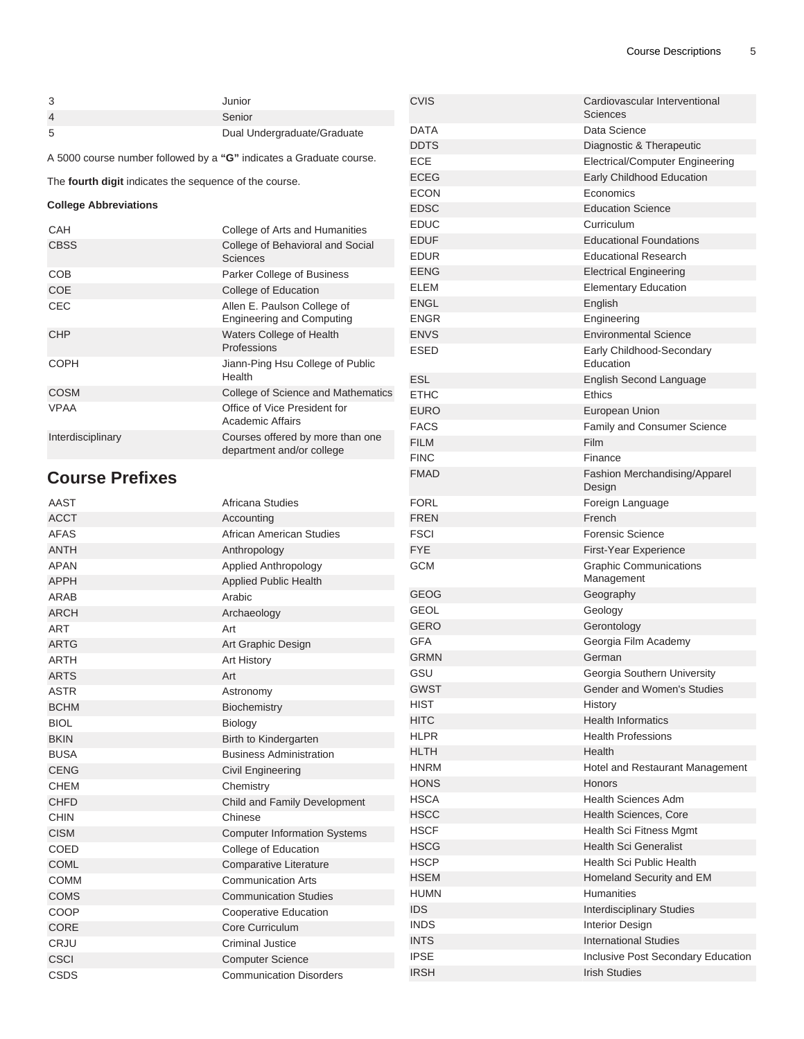CVIS COVIS

DDTS Diagnostic & Therapeutic ECE Electrical/Computer Engineering ECEG Early Childhood Education

EDUF EDUF Educational Foundations EDUR **Educational Research** EENG EENG Electrical Engineering ELEM **Elementary Education** 

ENVS **Environmental Science** ESED Early Childhood-Secondary

ESL English Second Language

FACS FACS Family and Consumer Science

DATA Data Science

ECON Economics EDSC **EDSC** Education Science EDUC Curriculum

ENGL English ENGR Engineering

ETHC Ethics

FILM FILM Film FINC Finance

EURO **EURO** European Union

**Sciences** 

Education

| 3              | Junior                      |
|----------------|-----------------------------|
| $\overline{4}$ | Senior                      |
| 5              | Dual Undergraduate/Graduate |

A 5000 course number followed by a **"G"** indicates a Graduate course.

The **fourth digit** indicates the sequence of the course.

#### **College Abbreviations**

| CAH               | College of Arts and Humanities                                  |
|-------------------|-----------------------------------------------------------------|
| <b>CBSS</b>       | College of Behavioral and Social<br>Sciences                    |
| COB               | Parker College of Business                                      |
| <b>COE</b>        | College of Education                                            |
| CEC               | Allen E. Paulson College of<br><b>Engineering and Computing</b> |
| <b>CHP</b>        | Waters College of Health<br>Professions                         |
| <b>COPH</b>       | Jiann-Ping Hsu College of Public<br>Health                      |
| <b>COSM</b>       | College of Science and Mathematics                              |
| <b>VPAA</b>       | Office of Vice President for<br>Academic Affairs                |
| Interdisciplinary | Courses offered by more than one<br>department and/or college   |

#### **Course Prefixes**

| <b>Course Prefixes</b> |                                     | <b>FMAD</b> | Fashion Merchandising/Apparel<br>Design |
|------------------------|-------------------------------------|-------------|-----------------------------------------|
| AAST                   | Africana Studies                    | <b>FORL</b> | Foreign Language                        |
| <b>ACCT</b>            | Accounting                          | <b>FREN</b> | French                                  |
| <b>AFAS</b>            | African American Studies            | <b>FSCI</b> | <b>Forensic Science</b>                 |
| <b>ANTH</b>            | Anthropology                        | <b>FYE</b>  | First-Year Experience                   |
| <b>APAN</b>            | <b>Applied Anthropology</b>         | <b>GCM</b>  | <b>Graphic Communications</b>           |
| <b>APPH</b>            | <b>Applied Public Health</b>        |             | Management                              |
| ARAB                   | Arabic                              | <b>GEOG</b> | Geography                               |
| <b>ARCH</b>            | Archaeology                         | <b>GEOL</b> | Geology                                 |
| <b>ART</b>             | Art                                 | <b>GERO</b> | Gerontology                             |
| <b>ARTG</b>            | Art Graphic Design                  | <b>GFA</b>  | Georgia Film Academy                    |
| <b>ARTH</b>            | Art History                         | <b>GRMN</b> | German                                  |
| <b>ARTS</b>            | Art                                 | GSU         | Georgia Southern University             |
| <b>ASTR</b>            | Astronomy                           | <b>GWST</b> | Gender and Women's Studies              |
| <b>BCHM</b>            | Biochemistry                        | <b>HIST</b> | History                                 |
| <b>BIOL</b>            | Biology                             | <b>HITC</b> | <b>Health Informatics</b>               |
| <b>BKIN</b>            | Birth to Kindergarten               | <b>HLPR</b> | <b>Health Professions</b>               |
| <b>BUSA</b>            | <b>Business Administration</b>      | <b>HLTH</b> | Health                                  |
| <b>CENG</b>            | <b>Civil Engineering</b>            | <b>HNRM</b> | Hotel and Restaurant Management         |
| <b>CHEM</b>            | Chemistry                           | <b>HONS</b> | Honors                                  |
| <b>CHFD</b>            | Child and Family Development        | <b>HSCA</b> | <b>Health Sciences Adm</b>              |
| <b>CHIN</b>            | Chinese                             | <b>HSCC</b> | Health Sciences, Core                   |
| <b>CISM</b>            | <b>Computer Information Systems</b> | <b>HSCF</b> | <b>Health Sci Fitness Mgmt</b>          |
| <b>COED</b>            | College of Education                | <b>HSCG</b> | <b>Health Sci Generalist</b>            |
| <b>COML</b>            | <b>Comparative Literature</b>       | <b>HSCP</b> | Health Sci Public Health                |
| <b>COMM</b>            | <b>Communication Arts</b>           | <b>HSEM</b> | Homeland Security and EM                |
| <b>COMS</b>            | <b>Communication Studies</b>        | <b>HUMN</b> | <b>Humanities</b>                       |
| COOP                   | <b>Cooperative Education</b>        | <b>IDS</b>  | <b>Interdisciplinary Studies</b>        |
| CORE                   | Core Curriculum                     | <b>INDS</b> | <b>Interior Design</b>                  |
| CRJU                   | <b>Criminal Justice</b>             | <b>INTS</b> | <b>International Studies</b>            |
| <b>CSCI</b>            | <b>Computer Science</b>             | <b>IPSE</b> | Inclusive Post Secondary Education      |
| <b>CSDS</b>            | <b>Communication Disorders</b>      | <b>IRSH</b> | <b>Irish Studies</b>                    |
|                        |                                     |             |                                         |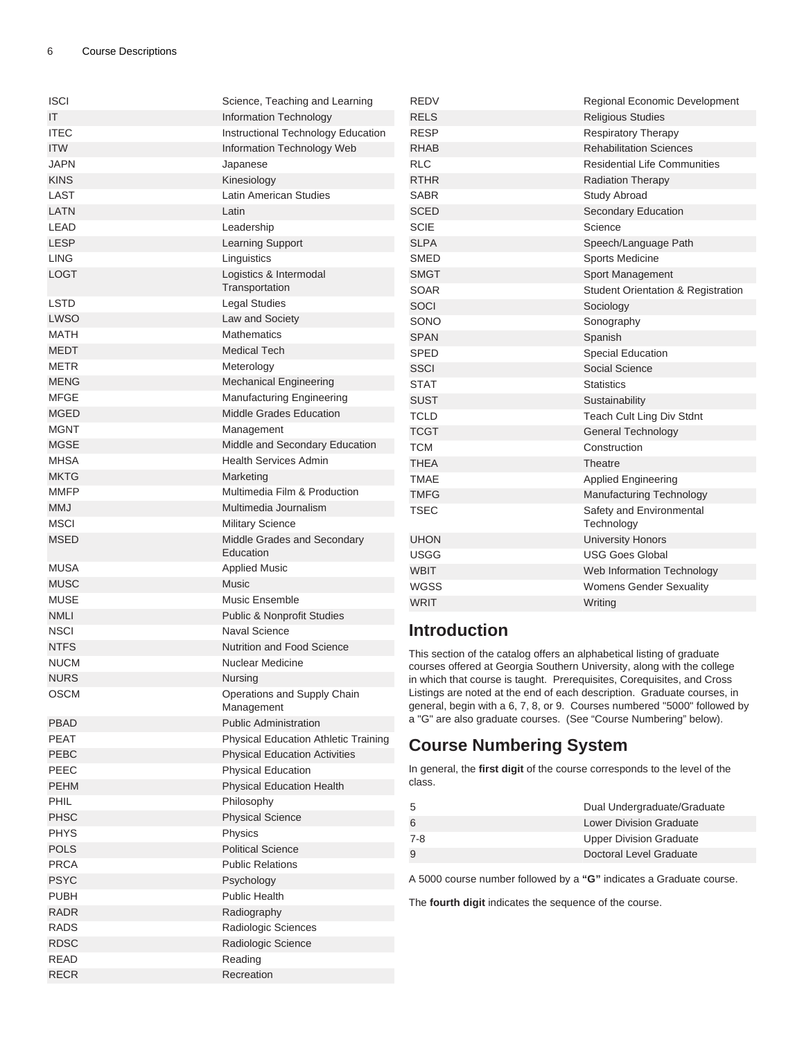| <b>ISCI</b> | Science, Teaching and Learning            | <b>REDV</b>                                                               | Regional Economic Development                                            |
|-------------|-------------------------------------------|---------------------------------------------------------------------------|--------------------------------------------------------------------------|
| IT          | Information Technology                    | <b>RELS</b>                                                               | <b>Religious Studies</b>                                                 |
| <b>ITEC</b> | Instructional Technology Education        | <b>RESP</b>                                                               | <b>Respiratory Therapy</b>                                               |
| <b>ITW</b>  | Information Technology Web                | <b>RHAB</b>                                                               | <b>Rehabilitation Sciences</b>                                           |
| <b>JAPN</b> | Japanese                                  | <b>RLC</b>                                                                | <b>Residential Life Communities</b>                                      |
| <b>KINS</b> | Kinesiology                               | <b>RTHR</b>                                                               | <b>Radiation Therapy</b>                                                 |
| LAST        | Latin American Studies                    | <b>SABR</b>                                                               | Study Abroad                                                             |
| LATN        | Latin                                     | <b>SCED</b>                                                               | Secondary Education                                                      |
| LEAD        | Leadership                                | <b>SCIE</b>                                                               | Science                                                                  |
| <b>LESP</b> | <b>Learning Support</b>                   | <b>SLPA</b>                                                               | Speech/Language Path                                                     |
| <b>LING</b> | Linguistics                               | <b>SMED</b>                                                               | Sports Medicine                                                          |
| <b>LOGT</b> | Logistics & Intermodal                    | <b>SMGT</b>                                                               | Sport Management                                                         |
|             | Transportation                            | <b>SOAR</b>                                                               | <b>Student Orientation &amp; Registration</b>                            |
| <b>LSTD</b> | <b>Legal Studies</b>                      | SOCI                                                                      | Sociology                                                                |
| <b>LWSO</b> | Law and Society                           | SONO                                                                      | Sonography                                                               |
| <b>MATH</b> | Mathematics                               | <b>SPAN</b>                                                               | Spanish                                                                  |
| <b>MEDT</b> | <b>Medical Tech</b>                       | <b>SPED</b>                                                               | Special Education                                                        |
| <b>METR</b> | Meterology                                | <b>SSCI</b>                                                               | <b>Social Science</b>                                                    |
| <b>MENG</b> | <b>Mechanical Engineering</b>             | <b>STAT</b>                                                               | <b>Statistics</b>                                                        |
| <b>MFGE</b> | <b>Manufacturing Engineering</b>          | <b>SUST</b>                                                               | Sustainability                                                           |
| <b>MGED</b> | <b>Middle Grades Education</b>            | <b>TCLD</b>                                                               | Teach Cult Ling Div Stdnt                                                |
| <b>MGNT</b> | Management                                | <b>TCGT</b>                                                               | <b>General Technology</b>                                                |
| <b>MGSE</b> | Middle and Secondary Education            | <b>TCM</b>                                                                | Construction                                                             |
| <b>MHSA</b> | <b>Health Services Admin</b>              | <b>THEA</b>                                                               | Theatre                                                                  |
| <b>MKTG</b> | Marketing                                 | <b>TMAE</b>                                                               | <b>Applied Engineering</b>                                               |
| <b>MMFP</b> | Multimedia Film & Production              | <b>TMFG</b>                                                               | <b>Manufacturing Technology</b>                                          |
| <b>MMJ</b>  | Multimedia Journalism                     | <b>TSEC</b>                                                               | Safety and Environmental                                                 |
| <b>MSCI</b> | <b>Military Science</b>                   |                                                                           | Technology                                                               |
| <b>MSED</b> | Middle Grades and Secondary               | <b>UHON</b>                                                               | <b>University Honors</b>                                                 |
|             | Education                                 | <b>USGG</b>                                                               | <b>USG Goes Global</b>                                                   |
| <b>MUSA</b> | <b>Applied Music</b>                      | <b>WBIT</b>                                                               | Web Information Technology                                               |
| <b>MUSC</b> | Music                                     | <b>WGSS</b>                                                               | Womens Gender Sexuality                                                  |
| <b>MUSE</b> | Music Ensemble                            | <b>WRIT</b>                                                               | Writing                                                                  |
| <b>NMLI</b> | <b>Public &amp; Nonprofit Studies</b>     |                                                                           |                                                                          |
| <b>NSCI</b> | <b>Naval Science</b>                      | <b>Introduction</b>                                                       |                                                                          |
| <b>NTFS</b> | <b>Nutrition and Food Science</b>         | This section of the catalog offers an alphabetical listing of graduate    |                                                                          |
| <b>NUCM</b> | Nuclear Medicine                          | courses offered at Georgia Southern University, along with the college    |                                                                          |
| <b>NURS</b> | <b>Nursing</b>                            | in which that course is taught. Prerequisites, Corequisites, and Cross    |                                                                          |
| <b>OSCM</b> | Operations and Supply Chain<br>Management | Listings are noted at the end of each description. Graduate courses, in   | general, begin with a 6, 7, 8, or 9. Courses numbered "5000" followed by |
| <b>PBAD</b> | <b>Public Administration</b>              | a "G" are also graduate courses. (See "Course Numbering" below).          |                                                                          |
| PEAT        | Physical Education Athletic Training      |                                                                           |                                                                          |
| PEBC        | <b>Physical Education Activities</b>      | <b>Course Numbering System</b>                                            |                                                                          |
| PEEC        | <b>Physical Education</b>                 | In general, the first digit of the course corresponds to the level of the |                                                                          |
| <b>PEHM</b> | <b>Physical Education Health</b>          | class.                                                                    |                                                                          |
| <b>PHIL</b> | Philosophy                                |                                                                           |                                                                          |
| <b>PHSC</b> | <b>Physical Science</b>                   | 5                                                                         | Dual Undergraduate/Graduate                                              |
| <b>PHYS</b> | Physics                                   | 6                                                                         | <b>Lower Division Graduate</b>                                           |
| <b>POLS</b> | <b>Political Science</b>                  | $7-8$                                                                     | <b>Upper Division Graduate</b>                                           |
| <b>PRCA</b> | <b>Public Relations</b>                   | 9                                                                         | Doctoral Level Graduate                                                  |
| <b>PSYC</b> | Psychology                                | A 5000 course number followed by a "G" indicates a Graduate course.       |                                                                          |
| <b>PUBH</b> | <b>Public Health</b>                      |                                                                           |                                                                          |
| <b>RADR</b> | Radiography                               | The fourth digit indicates the sequence of the course.                    |                                                                          |
| <b>RADS</b> | Radiologic Sciences                       |                                                                           |                                                                          |
| <b>RDSC</b> | Radiologic Science                        |                                                                           |                                                                          |
| <b>READ</b> | Reading                                   |                                                                           |                                                                          |
| <b>RECR</b> | Recreation                                |                                                                           |                                                                          |
|             |                                           |                                                                           |                                                                          |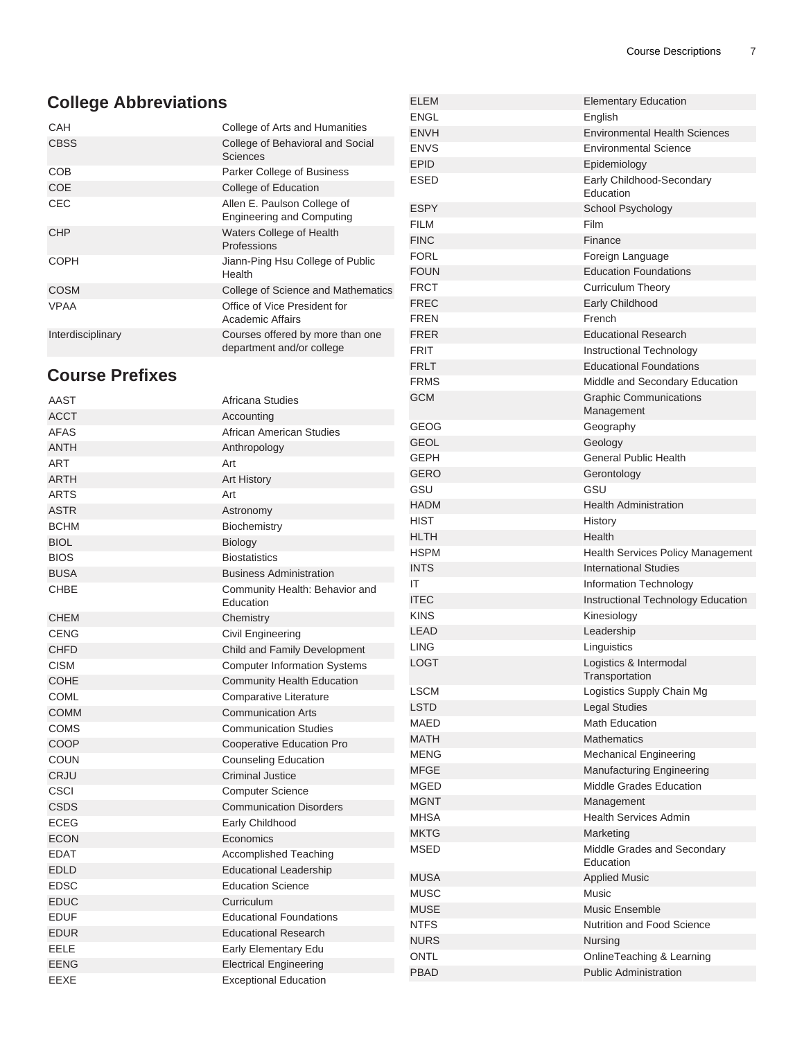## **College Abbreviations**

| CAH               | College of Arts and Humanities                                  |
|-------------------|-----------------------------------------------------------------|
| <b>CBSS</b>       | College of Behavioral and Social<br>Sciences                    |
| COB               | Parker College of Business                                      |
| <b>COE</b>        | College of Education                                            |
| CEC               | Allen E. Paulson College of<br><b>Engineering and Computing</b> |
| <b>CHP</b>        | Waters College of Health<br>Professions                         |
| <b>COPH</b>       | Jiann-Ping Hsu College of Public<br>Health                      |
| <b>COSM</b>       | College of Science and Mathematics                              |
| VPAA              | Office of Vice President for<br>Academic Affairs                |
| Interdisciplinary | Courses offered by more than one<br>department and/or college   |

## **Course Prefixes**

| AAST        | Africana Studies                    | GCM         |
|-------------|-------------------------------------|-------------|
| <b>ACCT</b> | Accounting                          |             |
| <b>AFAS</b> | African American Studies            | <b>GEOG</b> |
| <b>ANTH</b> | Anthropology                        | <b>GEOL</b> |
| <b>ART</b>  | Art                                 | GEPH        |
| <b>ARTH</b> | Art History                         | <b>GERO</b> |
| <b>ARTS</b> | Art                                 | GSU         |
| <b>ASTR</b> | Astronomy                           | <b>HADM</b> |
| <b>BCHM</b> | Biochemistry                        | <b>HIST</b> |
| <b>BIOL</b> | Biology                             | <b>HLTH</b> |
| <b>BIOS</b> | <b>Biostatistics</b>                | <b>HSPM</b> |
| <b>BUSA</b> | <b>Business Administration</b>      | <b>INTS</b> |
| <b>CHBE</b> | Community Health: Behavior and      | IT          |
|             | Education                           | <b>ITEC</b> |
| <b>CHEM</b> | Chemistry                           | <b>KINS</b> |
| <b>CENG</b> | Civil Engineering                   | <b>LEAD</b> |
| <b>CHFD</b> | Child and Family Development        | <b>LING</b> |
| <b>CISM</b> | <b>Computer Information Systems</b> | <b>LOGT</b> |
| <b>COHE</b> | <b>Community Health Education</b>   |             |
| <b>COML</b> | <b>Comparative Literature</b>       | <b>LSCM</b> |
| <b>COMM</b> | <b>Communication Arts</b>           | <b>LSTD</b> |
| <b>COMS</b> | <b>Communication Studies</b>        | <b>MAED</b> |
| COOP        | Cooperative Education Pro           | <b>MATH</b> |
| <b>COUN</b> | <b>Counseling Education</b>         | <b>MENG</b> |
| <b>CRJU</b> | <b>Criminal Justice</b>             | <b>MFGE</b> |
| <b>CSCI</b> | <b>Computer Science</b>             | <b>MGED</b> |
| <b>CSDS</b> | <b>Communication Disorders</b>      | <b>MGNT</b> |
| <b>ECEG</b> | Early Childhood                     | <b>MHSA</b> |
| <b>ECON</b> | Economics                           | <b>MKTG</b> |
| <b>EDAT</b> | <b>Accomplished Teaching</b>        | <b>MSED</b> |
| <b>EDLD</b> | <b>Educational Leadership</b>       |             |
| <b>EDSC</b> | <b>Education Science</b>            | <b>MUSA</b> |
| <b>EDUC</b> | Curriculum                          | <b>MUSC</b> |
| <b>EDUF</b> | <b>Educational Foundations</b>      | <b>MUSE</b> |
| <b>EDUR</b> | <b>Educational Research</b>         | <b>NTFS</b> |
| EELE        | Early Elementary Edu                | <b>NURS</b> |
| <b>EENG</b> | <b>Electrical Engineering</b>       | ONTL        |
| EEXE        | <b>Exceptional Education</b>        | <b>PBAD</b> |
|             |                                     |             |

| <b>ELEM</b> | <b>Elementary Education</b>          |
|-------------|--------------------------------------|
| <b>ENGL</b> | English                              |
| <b>ENVH</b> | <b>Environmental Health Sciences</b> |
| <b>ENVS</b> | <b>Environmental Science</b>         |
| <b>EPID</b> | Epidemiology                         |
| <b>ESED</b> | Early Childhood-Secondary            |
|             | Education                            |
| <b>ESPY</b> | School Psychology                    |
| <b>FILM</b> | Film                                 |
| <b>FINC</b> | Finance                              |
| <b>FORL</b> | Foreign Language                     |
| <b>FOUN</b> | <b>Education Foundations</b>         |
| <b>FRCT</b> | Curriculum Theory                    |
| <b>FREC</b> | Early Childhood                      |
| <b>FREN</b> | French                               |
| <b>FRER</b> | <b>Educational Research</b>          |
| <b>FRIT</b> | Instructional Technology             |
| <b>FRLT</b> | <b>Educational Foundations</b>       |
| <b>FRMS</b> | Middle and Secondary Education       |
| <b>GCM</b>  | <b>Graphic Communications</b>        |
|             | Management                           |
| GEOG        | Geography                            |
| <b>GEOL</b> | Geology                              |
| <b>GFPH</b> | <b>General Public Health</b>         |
| <b>GERO</b> | Gerontology                          |
| GSU         | GSU                                  |
| <b>HADM</b> | <b>Health Administration</b>         |
| <b>HIST</b> | History                              |
| <b>HLTH</b> | Health                               |
| <b>HSPM</b> | Health Services Policy Management    |
| <b>INTS</b> | <b>International Studies</b>         |
| ΙT          | Information Technology               |
| <b>ITEC</b> | Instructional Technology Education   |
| <b>KINS</b> | Kinesiology                          |
| <b>LEAD</b> | Leadership                           |
| <b>LING</b> | Linguistics                          |
| LOGT        | Logistics & Intermodal               |
|             | Transportation                       |
| <b>LSCM</b> | Logistics Supply Chain Mg            |
| <b>LSTD</b> | <b>Legal Studies</b>                 |
| MAED        | <b>Math Education</b>                |
| <b>MATH</b> | <b>Mathematics</b>                   |
| <b>MENG</b> | Mechanical Engineering               |
| <b>MFGE</b> | Manufacturing Engineering            |
| MGED        | Middle Grades Education              |
| <b>MGNT</b> | Management                           |
| <b>MHSA</b> | <b>Health Services Admin</b>         |
| <b>MKTG</b> | Marketing                            |
| MSED        | Middle Grades and Secondary          |
|             | Education                            |
| <b>MUSA</b> | <b>Applied Music</b>                 |
| MUSC        | Music                                |
| <b>MUSE</b> | <b>Music Ensemble</b>                |
| <b>NTFS</b> | <b>Nutrition and Food Science</b>    |
| <b>NURS</b> | Nursing                              |
| ONTL        | OnlineTeaching & Learning            |
| <b>PBAD</b> | <b>Public Administration</b>         |
|             |                                      |